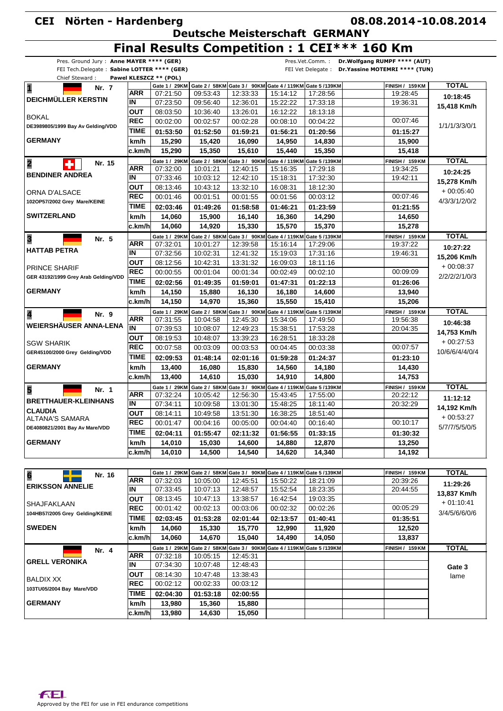**Final Results Competition : 1 CEI\*\*\* 160 Km**

| Pres. Ground Jury: Anne MAYER **** (GER)    |             |                        |                      |                      |                                                                                     |                      | Pres.Vet.Comm.: Dr.Wolfgang RUMPF **** (AUT)      |                |
|---------------------------------------------|-------------|------------------------|----------------------|----------------------|-------------------------------------------------------------------------------------|----------------------|---------------------------------------------------|----------------|
| FEI Tech.Delegate: Sabine LOTTER **** (GER) |             |                        |                      |                      |                                                                                     |                      | FEI Vet Delegate : Dr. Yassine MOTEMRI **** (TUN) |                |
| Chief Steward:                              |             | Pawel KLESZCZ ** (POL) |                      |                      |                                                                                     |                      |                                                   |                |
| $\overline{\mathbf{1}}$<br>Nr. 7            |             |                        |                      |                      | Gate 1 / 29KM Gate 2 / 58KM Gate 3 / 90KM Gate 4 / 119KM Gate 5 / 139KM             |                      | <b>FINISH / 159 KM</b>                            | <b>TOTAL</b>   |
| <b>DEICHMÜLLER KERSTIN</b>                  | ARR<br>IN   | 07:21:50<br>07:23:50   | 09:53:43<br>09:56:40 | 12:33:33<br>12:36:01 | 15:14:12<br>15:22:22                                                                | 17:28:56<br>17:33:18 | 19:28:45<br>19:36:31                              | 10:18:45       |
|                                             | <b>OUT</b>  | 08:03:50               | 10:36:40             | 13:26:01             | 16:12:22                                                                            | 18:13:18             |                                                   | 15,418 Km/h    |
| <b>BOKAL</b>                                | <b>REC</b>  | 00:02:00               | 00:02:57             | 00:02:28             | 00:08:10                                                                            | 00:04:22             | 00:07:46                                          |                |
| DE3989805/1999 Bay Av Gelding/VDD           | <b>TIME</b> | 01:53:50               | 01:52:50             | 01:59:21             | 01:56:21                                                                            | 01:20:56             | 01:15:27                                          | 1/1/1/3/3/0/1  |
| <b>GERMANY</b>                              | km/h        | 15,290                 | 15,420               | 16,090               | 14,950                                                                              | 14,830               | 15,900                                            |                |
|                                             | c.km/h      | 15,290                 | 15,350               | 15.610               | 15,440                                                                              | 15,350               | 15,418                                            |                |
| $\overline{\mathbf{2}}$<br>Nr. 15           |             |                        |                      |                      | Gate 1 / 29KM Gate 2 / 58KM Gate 3 / 90KM Gate 4 / 119KM Gate 5 / 139KM             |                      | <b>FINISH / 159 KM</b>                            | <b>TOTAL</b>   |
|                                             | <b>ARR</b>  | 07:32:00               | 10:01:21             | 12:40:15             | 15:16:35                                                                            | 17:29:18             | 19:34:25                                          | 10:24:25       |
| <b>BENDINER ANDREA</b>                      | IN          | 07:33:46               | 10:03:12             | 12:42:10             | 15:18:31                                                                            | 17:32:30             | 19:42:11                                          | 15,278 Km/h    |
| ORNA D'ALSACE                               | <b>OUT</b>  | 08:13:46               | 10:43:12             | 13:32:10             | 16:08:31                                                                            | 18:12:30             |                                                   | $+00:05:40$    |
| 102OP57/2002 Grey Mare/KEINE                | REC         | 00:01:46               | 00:01:51             | 00:01:55             | 00:01:56                                                                            | 00:03:12             | 00:07:46                                          | 4/3/3/1/2/0/2  |
|                                             | TIME        | 02:03:46               | 01:49:26             | 01:58:58             | 01:46:21                                                                            | 01:23:59             | 01:21:55                                          |                |
| SWITZERLAND                                 | km/h        | 14,060                 | 15,900               | 16,140               | 16,360                                                                              | 14,290               | 14,650                                            |                |
|                                             | c.km/h      | 14,060                 | 14,920               | 15,330               | 15,570                                                                              | 15,370               | 15,278                                            |                |
| 3<br>Nr. 5                                  | <b>ARR</b>  | Gate 1 / 29KM          |                      |                      | Gate 2 / 58KM Gate 3 / 90KM Gate 4 / 119KM Gate 5 /139KM                            |                      | <b>FINISH / 159 KM</b>                            | <b>TOTAL</b>   |
| HATTAB PETRA                                | IN          | 07:32:01<br>07:32:56   | 10:01:27<br>10:02:31 | 12:39:58<br>12:41:32 | 15:16:14<br>15:19:03                                                                | 17:29:06<br>17:31:16 | 19:37:22                                          | 10:27:22       |
|                                             | ΟUΤ         | 08:12:56               | 10:42:31             | 13:31:32             | 16:09:03                                                                            | 18:11:16             | 19:46:31                                          | 15,206 Km/h    |
| <b>PRINCE SHARIF</b>                        | <b>REC</b>  | 00:00:55               | 00:01:04             | 00:01:34             | 00:02:49                                                                            | 00:02:10             | 00:09:09                                          | $+00:08:37$    |
| GER 43192/1999 Grey Arab Gelding/VDD        | <b>TIME</b> | 02:02:56               | 01:49:35             | 01:59:01             | 01:47:31                                                                            | 01:22:13             | 01:26:06                                          | 2/2/2/2/1/0/3  |
| <b>GERMANY</b>                              | km/h        | 14,150                 | 15,880               | 16,130               | 16,180                                                                              | 14,600               | 13,940                                            |                |
|                                             | c.km/h      | 14,150                 | 14,970               | 15,360               | 15,550                                                                              | 15.410               | 15,206                                            |                |
|                                             |             | Gate 1 / 29KM          | Gate 2 / 58KM        |                      | Gate 3 / 90KM Gate 4 / 119KM Gate 5 /139KM                                          |                      | <b>FINISH / 159 KM</b>                            | <b>TOTAL</b>   |
| $\overline{\mathbf{4}}$<br>Nr. 9            | ARR         | 07:31:55               | 10:04:58             | 12:45:30             | 15:34:06                                                                            | 17:49:50             | 19:56:38                                          |                |
| WEIERSHÄUSER ANNA-LENA                      | İIN         | 07:39:53               | 10:08:07             | 12:49:23             | 15:38:51                                                                            | 17:53:28             | 20:04:35                                          | 10:46:38       |
|                                             | ΟUΤ         | 08:19:53               | 10:48:07             | 13:39:23             | 16:28:51                                                                            | 18:33:28             |                                                   | 14,753 Km/h    |
| <b>SGW SHARIK</b>                           | <b>REC</b>  | 00:07:58               | 00:03:09             | 00:03:53             | 00:04:45                                                                            | 00:03:38             | 00:07:57                                          | $+00:27:53$    |
| GER45100/2000 Grey Gelding/VDD              | <b>TIME</b> | 02:09:53               | 01:48:14             | 02:01:16             | 01:59:28                                                                            | 01:24:37             | 01:23:10                                          | 10/6/6/4/4/0/4 |
| GERMANY                                     | km/h        | 13,400                 | 16,080               | 15,830               | 14,560                                                                              | 14,180               | 14,430                                            |                |
|                                             | c.km/h      | 13,400                 | 14,610               | 15,030               | 14,910                                                                              | 14,800               | 14,753                                            |                |
| $\overline{\mathbf{5}}$<br>Nr. 1            |             | Gate 1 / 29KM          |                      |                      | Gate 2 / 58KM Gate 3 / 90KM Gate 4 / 119KM Gate 5 /139KM                            |                      | <b>FINISH / 159 KM</b>                            | <b>TOTAL</b>   |
| <b>BRETTHAUER-KLEINHANS</b>                 | ARR         | 07:32:24               | 10:05:42             | 12:56:30             | 15:43:45                                                                            | 17:55:00             | 20:22:12                                          | 11:12:12       |
| <b>CLAUDIA</b>                              | IN          | 07:34:11               | 10:09:58             | 13:01:30             | 15:48:25                                                                            | 18:11:40             | 20:32:29                                          | 14,192 Km/h    |
| ALTANA'S SAMARA                             | ΟUΤ         | 08:14:11               | 10:49:58             | 13:51:30             | 16:38:25                                                                            | 18:51:40             |                                                   | $+00:53:27$    |
| DE4080821/2001 Bay Av Mare/VDD              | <b>REC</b>  | 00:01:47               | 00:04:16             | 00:05:00             | 00:04:40                                                                            | 00:16:40             | 00:10:17                                          | 5/7/7/5/5/0/5  |
|                                             | <b>TIME</b> | 02:04:11               | 01:55:47             | 02:11:32             | 01:56:55                                                                            | 01:33:15             | 01:30:32                                          |                |
| <b>GERMANY</b>                              | km/h        | 14,010                 | 15,030               | 14,600               | 14,880                                                                              | 12,870               | 13,250                                            |                |
|                                             | c.km/h      | 14,010                 | 14,500               | 14,540               | 14,620                                                                              | 14,340               | 14,192                                            |                |
|                                             |             |                        |                      |                      |                                                                                     |                      |                                                   |                |
| $\overline{6}$<br>Nr. 16                    | <b>ARR</b>  | 07:32:03               | 10:05:00             | 12:45:51             | Gate 1 / 29KM Gate 2 / 58KM Gate 3 / 90KM Gate 4 / 119KM Gate 5 / 139KM<br>15:50:22 | 18:21:09             | <b>FINISH / 159 KM</b><br>20:39:26                | <b>TOTAL</b>   |
| <b>ERIKSSON ANNELIE</b>                     | IN          | 07:33:45               | 10:07:13             | 12:48:57             | 15:52:54                                                                            | 18:23:35             | 20:44:55                                          | 11:29:26       |
|                                             | OUT         | 08:13:45               | 10:47:13             | 13:38:57             | 16:42:54                                                                            | 19:03:35             |                                                   | 13,837 Km/h    |
| SHAJFAKLAAN                                 | <b>REC</b>  | 00:01:42               | 00:02:13             | 00:03:06             | 00:02:32                                                                            | 00:02:26             | 00:05:29                                          | $+01:10:41$    |
| 104HB57/2005 Grey Gelding/KEINE             | <b>TIME</b> | 02:03:45               | 01:53:28             | 02:01:44             | 02:13:57                                                                            | 01:40:41             | 01:35:51                                          | 3/4/5/6/6/0/6  |
| <b>SWEDEN</b>                               | km/h        | 14,060                 | 15,330               | 15,770               | 12,990                                                                              | 11,920               | 12,520                                            |                |
|                                             | c.km/h      | 14,060                 | 14,670               | 15,040               | 14,490                                                                              | 14,050               | 13,837                                            |                |
| Nr. 4                                       |             | Gate 1 / 29KM          | Gate 2 / 58KM        |                      | Gate 3 / 90KM Gate 4 / 119KM Gate 5 /139KM                                          |                      | <b>FINISH / 159 KM</b>                            | <b>TOTAL</b>   |
|                                             | <b>ARR</b>  | 07:32:18               | 10:05:15             | 12:45:31             |                                                                                     |                      |                                                   |                |
| <b>GRELL VERONIKA</b>                       | IN          | 07:34:30               | 10:07:48             | 12:48:43             |                                                                                     |                      |                                                   | Gate 3         |
| BALDIX XX                                   | <b>OUT</b>  | 08:14:30               | 10:47:48             | 13:38:43             |                                                                                     |                      |                                                   | lame           |
| 103TU05/2004 Bay Mare/VDD                   | <b>REC</b>  | 00:02:12               | 00:02:33             | 00:03:12             |                                                                                     |                      |                                                   |                |
|                                             | <b>TIME</b> | 02:04:30               | 01:53:18             | 02:00:55             |                                                                                     |                      |                                                   |                |
| <b>GERMANY</b>                              | km/h        | 13,980                 | 15,360               | 15,880               |                                                                                     |                      |                                                   |                |
|                                             | ∣c.km/h     | 13,980                 | 14,630               | 15,050               |                                                                                     |                      |                                                   |                |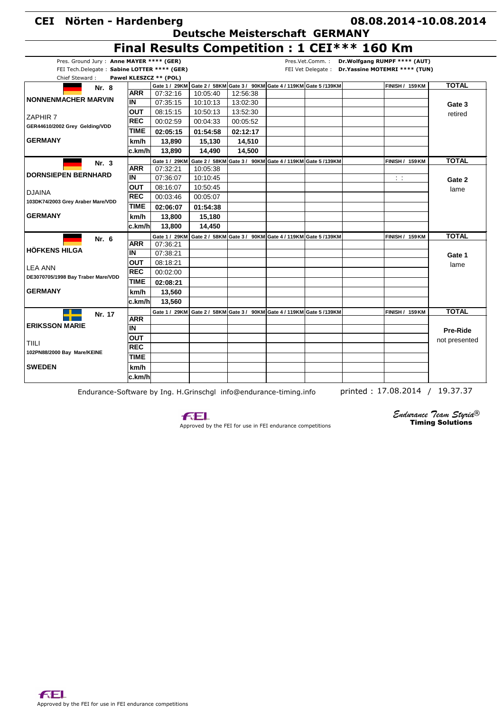**Final Results Competition : 1 CEI\*\*\* 160 Km**

| Pres. Ground Jury: Anne MAYER **** (GER)    |                          |                        |          |                                                                                 | Dr.Wolfgang RUMPF **** (AUT)<br>Pres.Vet.Comm.: |  |  |                                                   |               |  |
|---------------------------------------------|--------------------------|------------------------|----------|---------------------------------------------------------------------------------|-------------------------------------------------|--|--|---------------------------------------------------|---------------|--|
| FEI Tech.Delegate: Sabine LOTTER **** (GER) |                          |                        |          |                                                                                 |                                                 |  |  | FEI Vet Delegate : Dr. Yassine MOTEMRI **** (TUN) |               |  |
| Chief Steward:                              |                          | Pawel KLESZCZ ** (POL) |          |                                                                                 |                                                 |  |  |                                                   |               |  |
| Nr. 8                                       |                          |                        |          | Gate 1 / 29KM   Gate 2 / 58KM   Gate 3 / 90KM   Gate 4 / 119KM   Gate 5 / 139KM |                                                 |  |  | <b>FINISH / 159 KM</b>                            | <b>TOTAL</b>  |  |
| <b>NONNENMACHER MARVIN</b>                  | <b>ARR</b>               | 07:32:16               | 10:05:40 | 12:56:38                                                                        |                                                 |  |  |                                                   |               |  |
|                                             | IN                       | 07:35:15               | 10:10:13 | 13:02:30                                                                        |                                                 |  |  |                                                   | Gate 3        |  |
| <b>ZAPHIR 7</b>                             | <b>OUT</b>               | 08:15:15               | 10:50:13 | 13:52:30                                                                        |                                                 |  |  |                                                   | retired       |  |
| GER44610/2002 Grey Gelding/VDD              | <b>REC</b>               | 00:02:59               | 00:04:33 | 00:05:52                                                                        |                                                 |  |  |                                                   |               |  |
|                                             | <b>TIME</b>              | 02:05:15               | 01:54:58 | 02:12:17                                                                        |                                                 |  |  |                                                   |               |  |
| <b>GERMANY</b>                              | km/h                     | 13,890                 | 15,130   | 14,510                                                                          |                                                 |  |  |                                                   |               |  |
|                                             | c.km/hl                  | 13,890                 | 14,490   | 14,500                                                                          |                                                 |  |  |                                                   |               |  |
| Nr. 3                                       |                          | Gate 1 / 29KM          |          | Gate 2 / 58KM Gate 3 / 90KM Gate 4 / 119KM Gate 5 /139KM                        |                                                 |  |  | <b>FINISH / 159 KM</b>                            | <b>TOTAL</b>  |  |
|                                             | <b>ARR</b>               | 07:32:21               | 10:05:38 |                                                                                 |                                                 |  |  |                                                   |               |  |
| <b>DORNSIEPEN BERNHARD</b>                  | $\overline{\mathsf{IN}}$ | 07:36:07               | 10:10:45 |                                                                                 |                                                 |  |  | $\sim 10$                                         | Gate 2        |  |
|                                             | lout                     | 08:16:07               | 10:50:45 |                                                                                 |                                                 |  |  |                                                   | lame          |  |
| <b>DJAINA</b>                               | <b>REC</b>               | 00:03:46               | 00:05:07 |                                                                                 |                                                 |  |  |                                                   |               |  |
| 103DK74/2003 Grey Araber Mare/VDD           | <b>TIME</b>              | 02:06:07               | 01:54:38 |                                                                                 |                                                 |  |  |                                                   |               |  |
| <b>GERMANY</b>                              | km/h                     | 13,800                 | 15,180   |                                                                                 |                                                 |  |  |                                                   |               |  |
|                                             | lc.km/hl                 | 13,800                 | 14,450   |                                                                                 |                                                 |  |  |                                                   |               |  |
| Nr. 6                                       |                          | Gate 1 / 29KM          |          | Gate 2 / 58KM Gate 3 / 90KM Gate 4 / 119KM Gate 5 /139KM                        |                                                 |  |  | FINISH / 159 KM                                   | <b>TOTAL</b>  |  |
|                                             | <b>ARR</b>               | 07:36:21               |          |                                                                                 |                                                 |  |  |                                                   |               |  |
| <b>HÖFKENS HILGA</b>                        | $\overline{\mathsf{IN}}$ | 07:38:21               |          |                                                                                 |                                                 |  |  |                                                   | Gate 1        |  |
|                                             | <b>OUT</b>               | 08:18:21               |          |                                                                                 |                                                 |  |  |                                                   | lame          |  |
| <b>LEA ANN</b>                              | <b>REC</b>               | 00:02:00               |          |                                                                                 |                                                 |  |  |                                                   |               |  |
| DE3070705/1998 Bay Traber Mare/VDD          | <b>TIME</b>              | 02:08:21               |          |                                                                                 |                                                 |  |  |                                                   |               |  |
| <b>GERMANY</b>                              | km/h                     | 13,560                 |          |                                                                                 |                                                 |  |  |                                                   |               |  |
|                                             | c.km/h                   | 13,560                 |          |                                                                                 |                                                 |  |  |                                                   |               |  |
| Nr. 17                                      |                          | Gate 1 / 29KM          |          | Gate 2 / 58KM Gate 3 / 90KM Gate 4 / 119KM Gate 5 /139KM                        |                                                 |  |  | <b>FINISH / 159 KM</b>                            | <b>TOTAL</b>  |  |
| <b>ERIKSSON MARIE</b>                       | <b>ARR</b>               |                        |          |                                                                                 |                                                 |  |  |                                                   |               |  |
|                                             | IN                       |                        |          |                                                                                 |                                                 |  |  |                                                   | Pre-Ride      |  |
|                                             | <b>OUT</b>               |                        |          |                                                                                 |                                                 |  |  |                                                   | not presented |  |
| <b>TIILI</b>                                | <b>REC</b>               |                        |          |                                                                                 |                                                 |  |  |                                                   |               |  |
| 102PN88/2000 Bay Mare/KEINE                 | <b>TIME</b>              |                        |          |                                                                                 |                                                 |  |  |                                                   |               |  |
| <b>SWEDEN</b>                               | km/h                     |                        |          |                                                                                 |                                                 |  |  |                                                   |               |  |
|                                             | lc.km/hl                 |                        |          |                                                                                 |                                                 |  |  |                                                   |               |  |

Endurance-Software by Ing. H.Grinschgl info@endurance-timing.info printed : 17.08.2014 / 19.37.37



Approved by the FEI for use in FEI endurance competitions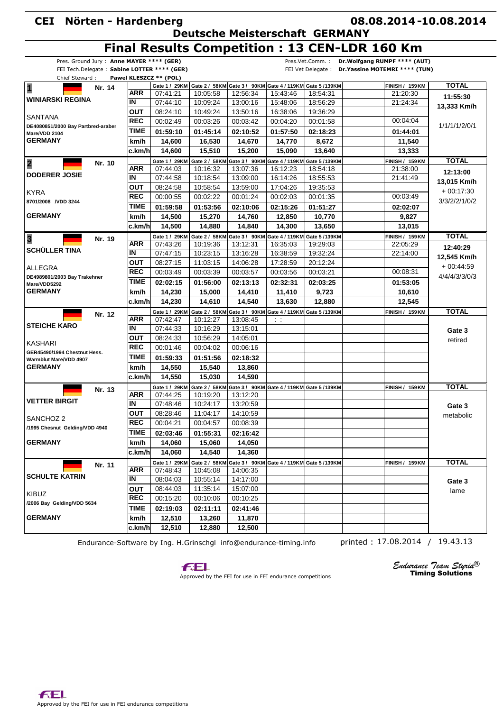### **CEI Nörten - Hardenberg Deutsche Meisterschaft GERMANY 08.08.2014 10.08.2014 - Final Results Competition : 13 CEN-LDR 160 Km**

| Pres. Ground Jury: Anne MAYER **** (GER)     |                        |                           |          |          |                                                                           | Pres.Vet.Comm.:   | Dr.Wolfgang RUMPF **** (AUT)   |               |
|----------------------------------------------|------------------------|---------------------------|----------|----------|---------------------------------------------------------------------------|-------------------|--------------------------------|---------------|
| FEI Tech.Delegate: Sabine LOTTER **** (GER)  |                        |                           |          |          |                                                                           | FEI Vet Delegate: | Dr. Yassine MOTEMRI **** (TUN) |               |
| Chief Steward:                               | Pawel KLESZCZ ** (POL) |                           |          |          |                                                                           |                   |                                |               |
| $\overline{\mathbf{1}}$<br>Nr. 14            |                        | Gate 1 / 29KM             |          |          | Gate 2 / 58KM Gate 3 / 90KM Gate 4 / 119KM Gate 5 / 139KM                 |                   | <b>FINISH / 159 KM</b>         | <b>TOTAL</b>  |
| <b>WINIARSKI REGINA</b>                      | <b>ARR</b>             | 07:41:21                  | 10:05:58 | 12:56:34 | 15:43:46                                                                  | 18:54:31          | 21:20:30                       | 11:55:30      |
|                                              | IN                     | 07:44:10                  | 10:09:24 | 13:00:16 | 15:48:06                                                                  | 18:56:29          | 21:24:34                       | 13,333 Km/h   |
| SANTANA                                      | <b>OUT</b>             | 08:24:10                  | 10:49:24 | 13:50:16 | 16:38:06                                                                  | 19:36:29          |                                |               |
| DE4080851/2000 Bay Partbred-araber           | <b>REC</b>             | 00:02:49                  | 00:03:26 | 00:03:42 | 00:04:20                                                                  | 00:01:58          | 00:04:04                       | 1/1/1/1/2/0/1 |
| Mare/VDD 2104                                | <b>TIME</b>            | 01:59:10                  | 01:45:14 | 02:10:52 | 01:57:50                                                                  | 02:18:23          | 01:44:01                       |               |
| <b>GERMANY</b>                               | km/h                   | 14,600                    | 16,530   | 14,670   | 14,770                                                                    | 8,672             | 11.540                         |               |
|                                              | c.km/hl                | 14,600                    | 15,510   | 15,200   | 15,090                                                                    | 13,640            | 13,333                         |               |
|                                              |                        | Gate 1 / 29KM             |          |          | Gate 2 / 58KM Gate 3 / 90KM Gate 4 / 119KM Gate 5 /139KM                  |                   | <b>FINISH / 159 KM</b>         | <b>TOTAL</b>  |
| $\overline{\mathbf{2}}$<br>Nr. 10            | <b>ARR</b>             | 07:44:03                  | 10:16:32 | 13:07:36 | 16:12:23                                                                  | 18:54:18          | 21:38:00                       |               |
| <b>DODERER JOSIE</b>                         | ΙN                     | 07:44:58                  | 10:18:54 | 13:09:00 | 16:14:26                                                                  | 18:55:53          | 21:41:49                       | 12:13:00      |
|                                              | <b>OUT</b>             | 08:24:58                  | 10:58:54 | 13:59:00 | 17:04:26                                                                  | 19:35:53          |                                | 13,015 Km/h   |
| KYRA                                         | <b>REC</b>             | 00:00:55                  | 00:02:22 | 00:01:24 | 00:02:03                                                                  | 00:01:35          | 00:03:49                       | $+00:17:30$   |
| 8701/2008 /VDD 3244                          |                        |                           |          |          |                                                                           |                   |                                | 3/3/2/2/1/0/2 |
|                                              | TIME                   | 01:59:58                  | 01:53:56 | 02:10:06 | 02:15:26                                                                  | 01:51:27          | 02:02:07                       |               |
| <b>GERMANY</b>                               | km/h                   | 14,500                    | 15,270   | 14,760   | 12,850                                                                    | 10,770            | 9,827                          |               |
|                                              | c.km/hl                | 14,500                    | 14,880   | 14,840   | 14,300                                                                    | 13,650            | 13,015                         |               |
| $\overline{3}$<br>Nr. 19                     |                        | Gate 1 / 29KM             |          |          | Gate 2 / 58KM Gate 3 / 90KM Gate 4 / 119KM Gate 5 /139KM                  |                   | <b>FINISH / 159 KM</b>         | <b>TOTAL</b>  |
|                                              | <b>ARR</b>             | 07:43:26                  | 10:19:36 | 13:12:31 | 16:35:03                                                                  | 19:29:03          | 22:05:29                       | 12:40:29      |
| <b>SCHÜLLER TINA</b>                         | ΙN                     | 07:47:15                  | 10:23:15 | 13:16:28 | 16:38:59                                                                  | 19:32:24          | 22:14:00                       | 12,545 Km/h   |
|                                              | <b>OUT</b>             | 08:27:15                  | 11:03:15 | 14:06:28 | 17:28:59                                                                  | 20:12:24          |                                | $+00.44.59$   |
| ALLEGRA                                      | <b>REC</b>             | 00:03:49                  | 00:03:39 | 00:03:57 | 00:03:56                                                                  | 00:03:21          | 00:08:31                       |               |
| DE4989801/2003 Bay Trakehner<br>Mare/VDD5292 | <b>TIME</b>            | 02:02:15                  | 01:56:00 | 02:13:13 | 02:32:31                                                                  | 02:03:25          | 01:53:05                       | 4/4/4/3/3/0/3 |
| <b>GERMANY</b>                               | km/h                   | 14,230                    | 15,000   | 14,410   | 11,410                                                                    | 9,723             | 10,610                         |               |
|                                              | c.km/hl                | 14,230                    | 14,610   | 14,540   | 13,630                                                                    | 12,880            | 12,545                         |               |
|                                              |                        |                           |          |          |                                                                           |                   |                                | <b>TOTAL</b>  |
| Nr. 12                                       | <b>ARR</b>             | Gate 1 / 29KM<br>07:42:47 | 10:12:27 | 13:08:45 | Gate 2 / 58KM Gate 3 / 90KM Gate 4 / 119KM Gate 5 /139KM<br>$\sim$ $\sim$ |                   | <b>FINISH / 159 KM</b>         |               |
| <b>STEICHE KARO</b>                          | ΙN                     | 07:44:33                  | 10:16:29 | 13:15:01 |                                                                           |                   |                                |               |
|                                              |                        | 08:24:33                  |          |          |                                                                           |                   |                                | Gate 3        |
| KASHARI                                      | ΟUΤ<br><b>REC</b>      |                           | 10:56:29 | 14:05:01 |                                                                           |                   |                                | retired       |
| GER45490/1994 Chestnut Hess.                 |                        | 00:01:46                  | 00:04:02 | 00:06:16 |                                                                           |                   |                                |               |
| Warmblut Mare/VDD 4907                       | <b>TIME</b>            | 01:59:33                  | 01:51:56 | 02:18:32 |                                                                           |                   |                                |               |
| <b>GERMANY</b>                               | km/h                   | 14,550                    | 15,540   | 13,860   |                                                                           |                   |                                |               |
|                                              | c.km/h                 | 14,550                    | 15,030   | 14,590   |                                                                           |                   |                                |               |
| Nr. 13                                       |                        | Gate 1 / 29KM             |          |          | Gate 2 / 58KM Gate 3 / 90KM Gate 4 / 119KM Gate 5 /139KM                  |                   | <b>FINISH / 159 KM</b>         | <b>TOTAL</b>  |
|                                              | <b>ARR</b>             | 07:44:25                  | 10:19:20 | 13:12:20 |                                                                           |                   |                                |               |
| <b>VETTER BIRGIT</b>                         | ΙN                     | 07:48:46                  | 10:24:17 | 13:20:59 |                                                                           |                   |                                | Gate 3        |
|                                              | <b>OUT</b>             | 08:28:46                  | 11:04:17 | 14:10:59 |                                                                           |                   |                                | metabolic     |
| <b>SANCHOZ 2</b>                             | <b>REC</b>             | 00:04:21                  | 00:04:57 | 00:08:39 |                                                                           |                   |                                |               |
| /1995 Chesnut Gelding/VDD 4940               | <b>TIME</b>            | 02:03:46                  | 01:55:31 | 02:16:42 |                                                                           |                   |                                |               |
| <b>GERMANY</b>                               | km/h                   | 14,060                    | 15,060   | 14,050   |                                                                           |                   |                                |               |
|                                              |                        |                           |          |          |                                                                           |                   |                                |               |
|                                              | c.km/h                 | 14,060                    | 14,540   | 14,360   |                                                                           |                   |                                |               |
| Nr. 11                                       |                        | Gate 1 / 29KM             |          |          | Gate 2 / 58KM Gate 3 / 90KM Gate 4 / 119KM Gate 5 /139KM                  |                   | <b>FINISH / 159 KM</b>         | <b>TOTAL</b>  |
| <b>SCHULTE KATRIN</b>                        | <b>ARR</b>             | 07:48:43                  | 10:45:08 | 14:06:35 |                                                                           |                   |                                |               |
|                                              | IN                     | 08:04:03                  | 10:55:14 | 14:17:00 |                                                                           |                   |                                | Gate 3        |
| KIBUZ                                        | <b>OUT</b>             | 08:44:03                  | 11:35:14 | 15:07:00 |                                                                           |                   |                                | lame          |
| /2006 Bay Gelding/VDD 5634                   | <b>REC</b>             | 00:15:20                  | 00:10:06 | 00:10:25 |                                                                           |                   |                                |               |
|                                              | <b>TIME</b>            | 02:19:03                  | 02:11:11 | 02:41:46 |                                                                           |                   |                                |               |
| <b>GERMANY</b>                               | km/h                   | 12,510                    | 13,260   | 11,870   |                                                                           |                   |                                |               |
|                                              | c.km/h                 | 12,510                    | 12,880   | 12,500   |                                                                           |                   |                                |               |
|                                              |                        |                           |          |          |                                                                           |                   |                                |               |

Endurance-Software by Ing. H.Grinschgl info@endurance-timing.info printed : 17.08.2014 / 19.43.13

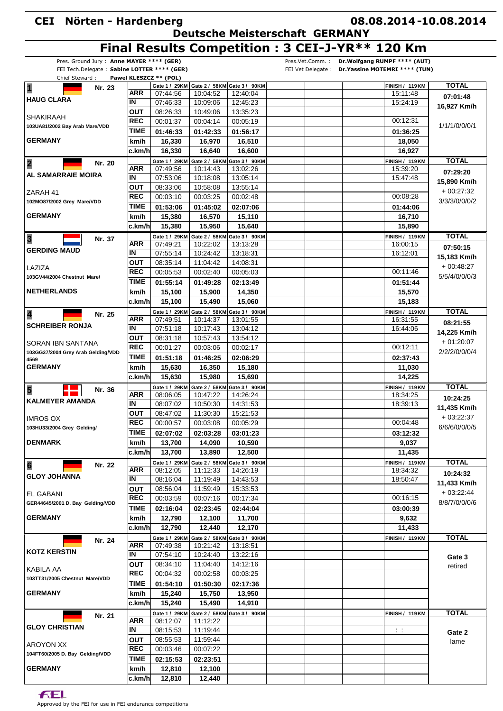# **Final Results Competition : 3 CEI-J-YR\*\* 120 Km**

Pres. Ground Jury : **Anne MAYER \*\*\*\* (GER)** FEI Tech.Delegate : **Sabine LOTTER \*\*\*\* (GER)**

FEI Vet Delegate : **Dr.Yassine MOTEMRI \*\*\*\* (TUN)**

Pres.Vet.Comm. : **Dr.Wolfgang RUMPF \*\*\*\* (AUT)**

| Chief Steward:                                                |                     | Pawel KLESZCZ ** (POL)    |                    |                                         |                                    |               |
|---------------------------------------------------------------|---------------------|---------------------------|--------------------|-----------------------------------------|------------------------------------|---------------|
| $\overline{\mathbf{1}}$<br>Nr. 23                             |                     | Gate 1 / 29KM             |                    | Gate 2 / 58KM Gate 3 / 90KM             | <b>FINISH / 119 KM</b>             | <b>TOTAL</b>  |
| <b>HAUG CLARA</b>                                             | ARR                 | 07:44:56                  | 10:04:52           | 12:40:04                                | 15:11:48                           | 07:01:48      |
|                                                               | IN                  | 07:46:33                  | 10:09:06           | 12:45:23                                | 15:24:19                           | 16,927 Km/h   |
| <b>SHAKIRAAH</b>                                              | <b>OUT</b>          | 08:26:33                  | 10:49:06           | 13:35:23                                |                                    |               |
| 103UA81/2002 Bay Arab Mare/VDD                                | <b>REC</b>          | 00:01:37                  | 00:04:14           | 00:05:19                                | 00:12:31                           | 1/1/1/0/0/0/1 |
|                                                               | TIME                | 01:46:33                  | 01:42:33           | 01:56:17                                | 01:36:25                           |               |
| <b>GERMANY</b>                                                | km/h                | 16,330                    | 16,970             | 16,510                                  | 18,050                             |               |
|                                                               | c.km/h              | 16,330                    | 16,640             | 16,600                                  | 16,927                             |               |
| $\overline{\mathbf{2}}$<br>Nr. 20                             |                     | Gate 1 / 29KM             |                    | Gate 2 / 58KM Gate 3 / 90KM             | <b>FINISH / 119 KM</b>             | <b>TOTAL</b>  |
| <b>AL SAMARRAIE MOIRA</b>                                     | <b>ARR</b>          | 07:49:56                  | 10:14:43           | 13:02:26                                | 15:39:20                           | 07:29:20      |
|                                                               | IN                  | 07:53:06                  | 10:18:08           | 13:05:14                                | 15:47:48                           | 15,890 Km/h   |
| ZARAH 41                                                      | <b>OUT</b>          | 08:33:06                  | 10:58:08           | 13:55:14                                |                                    | $+00:27:32$   |
| 102MO87/2002 Grey Mare/VDD                                    | <b>REC</b>          | 00:03:10                  | 00:03:25           | 00:02:48                                | 00:08:28                           | 3/3/3/0/0/0/2 |
|                                                               | <b>TIME</b>         | 01:53:06                  | 01:45:02           | 02:07:06                                | 01:44:06                           |               |
| <b>GERMANY</b>                                                | km/h                | 15,380                    | 16,570             | 15,110                                  | 16,710                             |               |
|                                                               | c.km/h              | 15,380                    | 15,950             | 15,640                                  | 15,890                             |               |
| 3<br>Nr. 37                                                   |                     | Gate 1 / 29KM             |                    | Gate 2 / 58KM Gate 3 / 90KM             | <b>FINISH / 119 KM</b>             | <b>TOTAL</b>  |
| <b>GERDING MAUD</b>                                           | <b>ARR</b>          | 07:49:21                  | 10:22:02           | 13:13:28                                | 16:00:15                           | 07:50:15      |
|                                                               | ΙN                  | 07:55:14                  | 10:24:42           | 13:18:31                                | 16:12:01                           | 15,183 Km/h   |
| LAZIZA                                                        | OUT                 | 08:35:14                  | 11:04:42           | 14:08:31                                |                                    | $+00:48:27$   |
| 103GV44/2004 Chestnut Mare/                                   | <b>REC</b>          | 00:05:53                  | 00:02:40           | 00:05:03                                | 00:11:46                           | 5/5/4/0/0/0/3 |
|                                                               | <b>TIME</b>         | 01:55:14                  | 01:49:28           | 02:13:49                                | 01:51:44                           |               |
| <b>NETHERLANDS</b>                                            | km/h                | 15,100                    | 15,900             | 14,350                                  | 15,570                             |               |
|                                                               | c.km/h              | 15,100                    | 15,490             | 15,060                                  | 15,183                             |               |
| $\overline{\mathbf{4}}$<br>Nr. 25                             |                     | Gate 1 / 29KM             |                    | Gate 2 / 58KM Gate 3 / 90KM             | <b>FINISH / 119 KM</b>             | <b>TOTAL</b>  |
|                                                               | ARR                 | 07:49:51                  | 10:14:37           | 13:01:55                                | 16:31:55                           | 08:21:55      |
| <b>SCHREIBER RONJA</b>                                        | ΙN                  | 07:51:18                  | 10:17:43           | 13:04:12                                | 16:44:06                           | 14,225 Km/h   |
|                                                               | OUT                 | 08:31:18                  | 10:57:43           | 13:54:12                                |                                    | $+01:20:07$   |
| SORAN IBN SANTANA                                             | <b>REC</b>          | 00:01:27                  | 00:03:06           | 00:02:17                                | 00:12:11                           | 2/2/2/0/0/0/4 |
| 103GG37/2004 Grey Arab Gelding/VDD<br>4569                    | <b>TIME</b>         | 01:51:18                  | 01:46:25           | 02:06:29                                | 02:37:43                           |               |
| <b>GERMANY</b>                                                | km/h                | 15,630                    | 16,350             | 15,180                                  | 11,030                             |               |
|                                                               |                     |                           |                    |                                         | 14,225                             |               |
|                                                               | c.km/h              | 15,630                    | 15,980             | 15,690                                  |                                    |               |
|                                                               |                     | Gate 1 / 29KM             |                    | Gate 2 / 58KM Gate 3 / 90KM             |                                    | <b>TOTAL</b>  |
| 5<br>Nr. 36                                                   | ARR                 | 08:06:05                  | 10:47:22           | 14:26:24                                | <b>FINISH / 119 KM</b><br>18:34:25 |               |
| <b>KALMEYER AMANDA</b>                                        | IN                  | 08:07:02                  | 10:50:30           | 14:31:53                                | 18:39:13                           | 10:24:25      |
|                                                               | <b>OUT</b>          | 08:47:02                  | 11:30:30           | 15:21:53                                |                                    | 11,435 Km/h   |
| <b>IMROS OX</b>                                               | <b>REC</b>          | 00:00:57                  | 00:03:08           | 00:05:29                                | 00:04:48                           | $+03:22:37$   |
| 103HU33/2004 Grey Gelding/                                    | TIME                | 02:07:02                  | 02:03:28           | 03:01:23                                | 03:12:32                           | 6/6/6/0/0/0/5 |
| <b>DENMARK</b>                                                | km/h                | 13,700                    | 14,090             | 10,590                                  | 9,037                              |               |
|                                                               |                     |                           |                    |                                         |                                    |               |
|                                                               | c.km/h              | 13,700                    | 13,890             | 12,500                                  | 11,435                             |               |
| Nr. 22                                                        | ARR                 | Gate 1 / 29KM<br>08:12:05 | 11:12:33           | Gate 2 / 58KM Gate 3 / 90KM<br>14:26:19 | <b>FINISH / 119 KM</b><br>18:34:32 | <b>TOTAL</b>  |
| $\vert$ 6<br><b>GLOY JOHANNA</b>                              | IN                  | 08:16:04                  | 11:19:49           | 14:43:53                                | 18:50:47                           | 10:24:32      |
|                                                               | OUT                 | 08:56:04                  | 11:59:49           | 15:33:53                                |                                    | 11,433 Km/h   |
| EL GABANI                                                     | <b>REC</b>          | 00:03:59                  | 00:07:16           | 00:17:34                                | 00:16:15                           | $+03:22:44$   |
| GER44645/2001 D. Bay Gelding/VDD                              | <b>TIME</b>         | 02:16:04                  | 02:23:45           | 02:44:04                                | 03:00:39                           | 8/8/7/0/0/0/6 |
| <b>GERMANY</b>                                                | km/h                | 12,790                    | 12,100             | 11,700                                  | 9,632                              |               |
|                                                               | c.km/h              | 12,790                    | 12,440             | 12,170                                  | 11,433                             |               |
|                                                               |                     |                           |                    |                                         |                                    |               |
| Nr. 24                                                        | <b>ARR</b>          | Gate 1 / 29KM<br>07:49:38 | 10:21:42           | Gate 2 / 58KM Gate 3 / 90KM<br>13:18:51 | <b>FINISH / 119 KM</b>             | <b>TOTAL</b>  |
|                                                               | IN                  | 07:54:10                  | 10:24:40           | 13:22:16                                |                                    |               |
|                                                               | OUT                 | 08:34:10                  | 11:04:40           | 14:12:16                                |                                    | Gate 3        |
|                                                               | <b>REC</b>          | 00:04:32                  | 00:02:58           | 00:03:25                                |                                    | retired       |
| 103TT31/2005 Chestnut Mare/VDD                                | <b>TIME</b>         |                           |                    |                                         |                                    |               |
| <b>GERMANY</b>                                                |                     | 01:54:10                  | 01:50:30           | 02:17:36                                |                                    |               |
|                                                               | km/h                | 15,240                    | 15,750             | 13,950                                  |                                    |               |
|                                                               | ∣c.km/h             | 15,240                    | 15,490             | 14,910                                  |                                    |               |
| Nr. 21                                                        | ARR                 | Gate 1 / 29KM             | 11:12:22           | Gate 2 / 58KM Gate 3 / 90KM             | <b>FINISH / 119 KM</b>             | TOTAL         |
| <b>GLOY CHRISTIAN</b>                                         | IN                  | 08:12:07<br>08:15:53      | 11:19:44           |                                         | $\sim 1$                           |               |
|                                                               | <b>OUT</b>          | 08:55:53                  | 11:59:44           |                                         |                                    | Gate 2        |
| AROYON XX                                                     | <b>REC</b>          | 00:03:46                  | 00:07:22           |                                         |                                    | lame          |
| KOTZ KERSTIN<br> KABILA AA<br>104FT60/2005 D. Bay Gelding/VDD |                     |                           |                    |                                         |                                    |               |
| <b>GERMANY</b>                                                | <b>TIME</b><br>km/h | 02:15:53<br>12,810        | 02:23:51<br>12,100 |                                         |                                    |               |

**FEL**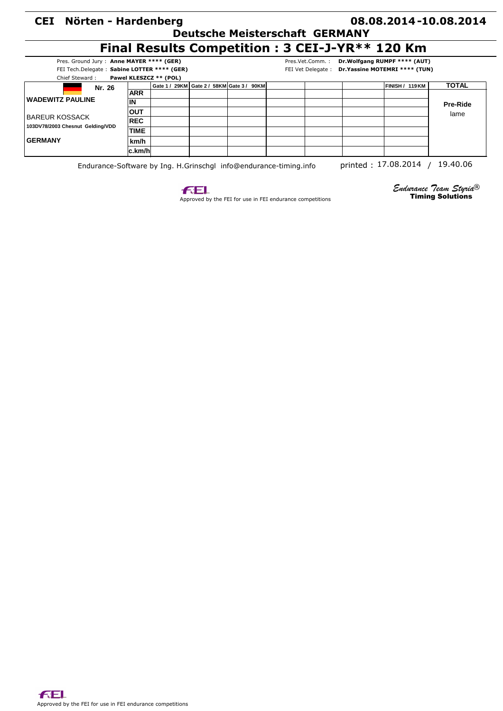#### **CEI Nörten - Hardenberg Deutsche Meisterschaft GERMANY 08.08.2014 10.08.2014 - Final Results Competition : 3 CEI-J-YR\*\* 120 Km**

|                                             |             |                        |  |                                               | . w. .\\\$\\!\\\$\\\!\\$\\!\!\\$\!\!! \$\\$\$\$\\$\!\\ |  | -------                      |                 |
|---------------------------------------------|-------------|------------------------|--|-----------------------------------------------|--------------------------------------------------------|--|------------------------------|-----------------|
| Pres. Ground Jury: Anne MAYER **** (GER)    |             |                        |  |                                               | Pres.Vet.Comm.:                                        |  | Dr.Wolfgang RUMPF **** (AUT) |                 |
| FEI Tech.Delegate: Sabine LOTTER **** (GER) |             |                        |  |                                               | FEI Vet Delegate: Dr. Yassine MOTEMRI **** (TUN)       |  |                              |                 |
| Chief Steward:                              |             | Pawel KLESZCZ ** (POL) |  |                                               |                                                        |  |                              |                 |
| Nr. 26                                      |             |                        |  | Gate 1 / 29KM   Gate 2 / 58KM   Gate 3 / 90KM |                                                        |  | FINISH / 119 KM              | <b>TOTAL</b>    |
|                                             | <b>ARR</b>  |                        |  |                                               |                                                        |  |                              |                 |
| <b>WADEWITZ PAULINE</b>                     | ΙN          |                        |  |                                               |                                                        |  |                              | <b>Pre-Ride</b> |
|                                             | lout        |                        |  |                                               |                                                        |  |                              | lame            |
| IBAREUR KOSSACK                             | <b>REC</b>  |                        |  |                                               |                                                        |  |                              |                 |
| 103DV78/2003 Chesnut Gelding/VDD            | <b>TIME</b> |                        |  |                                               |                                                        |  |                              |                 |
| <b>GERMANY</b>                              | km/h        |                        |  |                                               |                                                        |  |                              |                 |
|                                             | c.km/h      |                        |  |                                               |                                                        |  |                              |                 |

Endurance-Software by Ing. H.Grinschgl info@endurance-timing.info printed : 17.08.2014 / 19.40.06



Approved by the FEI for use in FEI endurance competitions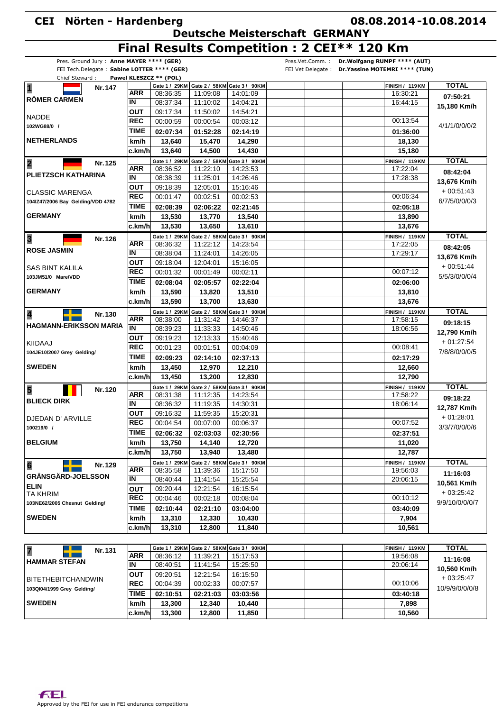**Final Results Competition : 2 CEI\*\* 120 Km**

| Pres. Ground Jury: Anne MAYER **** (GER)<br>FEI Tech.Delegate: Sabine LOTTER **** (GER) |                        |         |                           |          |                                         | Pres.Vet.Comm. :<br>FEI Vet Delegate : Dr. Yassine MOTEMRI **** (TUN) | Dr.Wolfgang RUMPF **** (AUT)       |                            |
|-----------------------------------------------------------------------------------------|------------------------|---------|---------------------------|----------|-----------------------------------------|-----------------------------------------------------------------------|------------------------------------|----------------------------|
| Chief Steward:                                                                          | Pawel KLESZCZ ** (POL) |         |                           |          |                                         |                                                                       |                                    |                            |
| $\vert$ 1                                                                               | Nr. 147                |         | Gate 1 / 29KM             |          | Gate 2 / 58KM Gate 3 / 90KM             |                                                                       | <b>FINISH / 119 KM</b>             | <b>TOTAL</b>               |
|                                                                                         | <b>ARR</b>             |         | 08:36:35                  | 11:09:08 | 14:01:09                                |                                                                       | 16:30:21                           | 07:50:21                   |
| <b>RÖMER CARMEN</b>                                                                     | IN                     |         | 08:37:34                  | 11:10:02 | 14:04:21                                |                                                                       | 16:44:15                           | 15,180 Km/h                |
|                                                                                         | <b>OUT</b>             |         | 09:17:34                  | 11:50:02 | 14:54:21                                |                                                                       |                                    |                            |
| NADDE                                                                                   | <b>REC</b>             |         | 00:00:59                  | 00:00:54 | 00:03:12                                |                                                                       | 00:13:54                           |                            |
| 102WG88/0 /                                                                             | TIME                   |         | 02:07:34                  | 01:52:28 | 02:14:19                                |                                                                       | 01:36:00                           | 4/1/1/0/0/0/2              |
| <b>NETHERLANDS</b>                                                                      | km/h                   |         | 13,640                    | 15,470   | 14,290                                  |                                                                       | 18,130                             |                            |
|                                                                                         |                        | c.km/hl | 13,640                    | 14,500   | 14,430                                  |                                                                       | 15,180                             |                            |
| $\overline{\mathbf{2}}$                                                                 | Nr. 125                |         | Gate 1 / 29KM             |          | Gate 2 / 58KM Gate 3 / 90KM             |                                                                       | <b>FINISH / 119 KM</b>             | <b>TOTAL</b>               |
|                                                                                         | <b>ARR</b>             |         | 08:36:52                  | 11:22:10 | 14:23:53                                |                                                                       | 17:22:04                           | 08:42:04                   |
| PLIETZSCH KATHARINA                                                                     | IN                     |         | 08:38:39                  | 11:25:01 | 14:26:46                                |                                                                       | 17:28:38                           | 13,676 Km/h                |
|                                                                                         | <b>OUT</b>             |         | 09:18:39                  | 12:05:01 | 15:16:46                                |                                                                       |                                    | $+00:51:43$                |
| <b>CLASSIC MARENGA</b>                                                                  | <b>REC</b>             |         | 00:01:47                  | 00:02:51 | 00:02:53                                |                                                                       | 00:06:34                           |                            |
| 104IZ47/2006 Bay Gelding/VDD 4782                                                       | <b>TIME</b>            |         | 02:08:39                  | 02:06:22 | 02:21:45                                |                                                                       | 02:05:18                           | 6/7/5/0/0/0/3              |
| <b>GERMANY</b>                                                                          | km/h                   |         | 13,530                    | 13,770   | 13,540                                  |                                                                       | 13,890                             |                            |
|                                                                                         | c.km/h                 |         | 13,530                    | 13,650   | 13,610                                  |                                                                       | 13,676                             |                            |
| $\overline{\mathbf{3}}$                                                                 | Nr. 126                |         | Gate 1 / 29KM             |          | Gate 2 / 58KM Gate 3 / 90KM             |                                                                       | <b>FINISH / 119 KM</b>             | <b>TOTAL</b>               |
|                                                                                         | <b>ARR</b>             |         | 08:36:32                  | 11:22:12 | 14:23:54                                |                                                                       | 17:22:05                           | 08:42:05                   |
| <b>ROSE JASMIN</b>                                                                      | IN                     |         | 08:38:04                  | 11:24:01 | 14:26:05                                |                                                                       | 17:29:17                           |                            |
|                                                                                         | <b>OUT</b>             |         | 09:18:04                  | 12:04:01 | 15:16:05                                |                                                                       |                                    | 13,676 Km/h<br>$+00:51:44$ |
| SAS BINT KALILA                                                                         | <b>REC</b>             |         | 00:01:32                  | 00:01:49 | 00:02:11                                |                                                                       | 00:07:12                           |                            |
| 103JM51/0 Mare/VDD                                                                      | <b>TIME</b>            |         | 02:08:04                  | 02:05:57 | 02:22:04                                |                                                                       | 02:06:00                           | 5/5/3/0/0/0/4              |
| <b>GERMANY</b>                                                                          | km/h                   |         | 13,590                    | 13,820   | 13,510                                  |                                                                       | 13,810                             |                            |
|                                                                                         |                        | c.km/h  | 13.590                    | 13,700   | 13,630                                  |                                                                       | 13,676                             |                            |
|                                                                                         |                        |         | Gate 1 / 29KM             |          | Gate 2 / 58KM Gate 3 / 90KM             |                                                                       | <b>FINISH / 119 KM</b>             | <b>TOTAL</b>               |
| $\overline{\mathbf{4}}$                                                                 | Nr.130<br><b>ARR</b>   |         | 08:38:00                  | 11:31:42 | 14:46:37                                |                                                                       | 17:58:15                           |                            |
| <b>HAGMANN-ERIKSSON MARIA</b>                                                           | ĪΝ                     |         | 08:39:23                  | 11:33:33 | 14:50:46                                |                                                                       | 18:06:56                           | 09:18:15                   |
|                                                                                         | <b>OUT</b>             |         | 09:19:23                  | 12:13:33 | 15:40:46                                |                                                                       |                                    | 12,790 Km/h                |
| KIIDAAJ                                                                                 | <b>REC</b>             |         | 00:01:23                  | 00:01:51 | 00:04:09                                |                                                                       | 00:08:41                           | $+01:27:54$                |
| 104JE10/2007 Grey Gelding/                                                              | <b>TIME</b>            |         | 02:09:23                  | 02:14:10 | 02:37:13                                |                                                                       | 02:17:29                           | 7/8/8/0/0/0/5              |
| <b>SWEDEN</b>                                                                           | km/h                   |         | 13,450                    | 12,970   | 12,210                                  |                                                                       | 12,660                             |                            |
|                                                                                         | c.km/h                 |         | 13,450                    | 13,200   | 12,830                                  |                                                                       | 12,790                             |                            |
|                                                                                         |                        |         | Gate 1 / 29KM             |          | Gate 2 / 58KM Gate 3 / 90KM             |                                                                       | <b>FINISH / 119 KM</b>             | <b>TOTAL</b>               |
| 5                                                                                       | Nr. 120<br><b>ARR</b>  |         | 08:31:38                  | 11:12:35 | 14:23:54                                |                                                                       | 17:58:22                           |                            |
| <b>BLIECK DIRK</b>                                                                      | IN                     |         | 08:36:32                  | 11:19:35 | 14:30:31                                |                                                                       | 18:06:14                           | 09:18:22                   |
|                                                                                         | <b>OUT</b>             |         | 09:16:32                  | 11:59:35 | 15:20:31                                |                                                                       |                                    | 12,787 Km/h                |
| DJEDAN D' ARVILLE                                                                       | <b>REC</b>             |         | 00:04:54                  | 00:07:00 | 00:06:37                                |                                                                       | 00:07:52                           | $+01:28:01$                |
| 100219/0 /                                                                              | <b>TIME</b>            |         | 02:06:32                  | 02:03:03 | 02:30:56                                |                                                                       | 02:37:51                           | 3/3/7/0/0/0/6              |
| <b>BELGIUM</b>                                                                          | km/h                   |         | 13,750                    | 14,140   | 12,720                                  |                                                                       | 11,020                             |                            |
|                                                                                         |                        | c.km/h  | 13,750                    | 13,940   | 13,480                                  |                                                                       | 12,787                             |                            |
| $\mathbf{L}$                                                                            |                        |         | Gate 1 / 29KM             |          | Gate 2 / 58KM Gate 3 / 90KM             |                                                                       | <b>FINISH / 119 KM</b>             | <b>TOTAL</b>               |
| $\vert$ 6                                                                               | Nr. 129<br>ARR         |         | 08:35:58                  | 11:39:36 | 15:17:50                                |                                                                       | 19:56:03                           |                            |
| <b>GRÄNSGÄRD-JOELSSON</b>                                                               | IN                     |         | 08:40:44                  | 11:41:54 | 15:25:54                                |                                                                       | 20:06:15                           | 11:16:03                   |
| <b>ELIN</b>                                                                             | <b>OUT</b>             |         | 09:20:44                  | 12:21:54 | 16:15:54                                |                                                                       |                                    | 10,561 Km/h                |
| <b>TA KHRIM</b>                                                                         | <b>REC</b>             |         | 00:04:46                  | 00:02:18 | 00:08:04                                |                                                                       | 00:10:12                           | $+03:25:42$                |
| 103NE62/2005 Chesnut Gelding/                                                           | <b>TIME</b>            |         | 02:10:44                  | 02:21:10 | 03:04:00                                |                                                                       | 03:40:09                           | 9/9/10/0/0/0/7             |
| <b>SWEDEN</b>                                                                           | km/h                   |         | 13,310                    | 12,330   | 10,430                                  |                                                                       | 7,904                              |                            |
|                                                                                         |                        | c.km/hl | 13,310                    | 12,800   | 11,840                                  |                                                                       | 10,561                             |                            |
|                                                                                         |                        |         |                           |          |                                         |                                                                       |                                    |                            |
|                                                                                         |                        |         |                           |          |                                         |                                                                       |                                    |                            |
| 17                                                                                      | Nr. 131<br><b>ARR</b>  |         | Gate 1 / 29KM<br>08:36:12 | 11:39:21 | Gate 2 / 58KM Gate 3 / 90KM<br>15:17:53 |                                                                       | <b>FINISH / 119 KM</b><br>19:56:08 | <b>TOTAL</b>               |
| <b>HAMMAR STEFAN</b>                                                                    | IN                     |         | 08:40:51                  | 11:41:54 | 15:25:50                                |                                                                       | 20:06:14                           | 11:16:08                   |
|                                                                                         | <b>OUT</b>             |         | 09:20:51                  | 12:21:54 | 16:15:50                                |                                                                       |                                    | 10,560 Km/h                |
| <b>BITETHEBITCHANDWIN</b>                                                               | <b>REC</b>             |         | 00:04:39                  | 00:02:33 | 00:07:57                                |                                                                       | 00:10:06                           | $+03:25:47$                |
| 103Ql04/1999 Grey Gelding/                                                              | <b>TIME</b>            |         |                           |          |                                         |                                                                       |                                    | 10/9/9/0/0/0/8             |
|                                                                                         |                        |         | 02:10:51                  | 02:21:03 | 03:03:56                                |                                                                       | 03:40:18                           |                            |
| <b>SWEDEN</b>                                                                           | km/h                   |         | 13,300                    | 12,340   | 10,440                                  |                                                                       | 7,898                              |                            |

**c.km/h 12,800 11,850 13,300 10,560**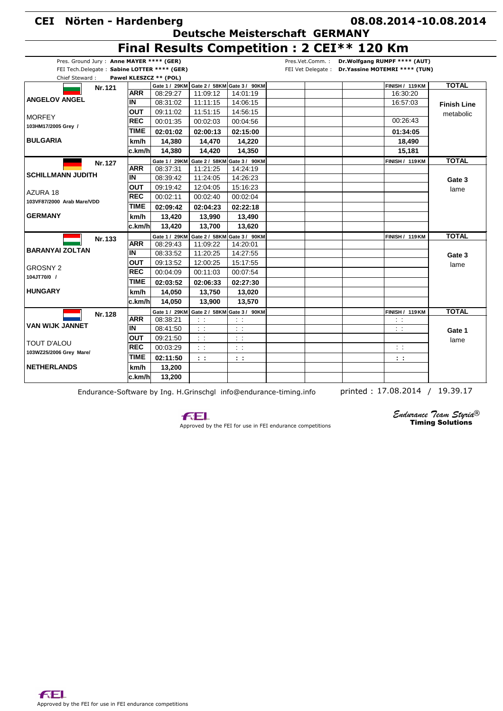#### **CEI Nörten - Hardenberg Deutsche Meisterschaft GERMANY 08.08.2014 10.08.2014 - Final Results Competition : 2 CEI\*\* 120 Km**

|                          | Pres. Ground Jury: Anne MAYER **** (GER) |                 |                                             |                             |                                           | Pres.Vet.Comm.: | Dr.Wolfgang RUMPF **** (AUT)                     |                    |
|--------------------------|------------------------------------------|-----------------|---------------------------------------------|-----------------------------|-------------------------------------------|-----------------|--------------------------------------------------|--------------------|
|                          |                                          |                 | FEI Tech.Delegate: Sabine LOTTER **** (GER) |                             |                                           |                 | FEI Vet Delegate: Dr. Yassine MOTEMRI **** (TUN) |                    |
| Chief Steward:           |                                          |                 | Pawel KLESZCZ ** (POL)                      |                             |                                           |                 |                                                  |                    |
|                          | Nr. 121                                  |                 |                                             |                             | Gate 1 / 29KM Gate 2 / 58KM Gate 3 / 90KM |                 | FINISH / 119 KM                                  | <b>TOTAL</b>       |
|                          |                                          | <b>ARR</b>      | 08:29:27                                    | 11:09:12                    | 14:01:19                                  |                 | 16:30:20                                         |                    |
| <b>ANGELOV ANGEL</b>     |                                          | IN              | 08:31:02                                    | 11:11:15                    | 14:06:15                                  |                 | 16:57:03                                         | <b>Finish Line</b> |
| <b>MORFEY</b>            |                                          | <b>OUT</b>      | 09:11:02                                    | 11:51:15                    | 14:56:15                                  |                 |                                                  | metabolic          |
| 103HM17/2005 Grey /      |                                          | <b>REC</b>      | 00:01:35                                    | 00:02:03                    | 00:04:56                                  |                 | 00:26:43                                         |                    |
|                          |                                          | <b>TIME</b>     | 02:01:02                                    | 02:00:13                    | 02:15:00                                  |                 | 01:34:05                                         |                    |
| <b>BULGARIA</b>          |                                          | km/h            | 14,380                                      | 14,470                      | 14,220                                    |                 | 18.490                                           |                    |
|                          |                                          | lc.km/hl        | 14,380                                      | 14,420                      | 14,350                                    |                 | 15,181                                           |                    |
|                          | Nr. 127                                  |                 |                                             |                             | Gate 1 / 29KM Gate 2 / 58KM Gate 3 / 90KM |                 | <b>FINISH / 119 KM</b>                           | <b>TOTAL</b>       |
|                          |                                          | <b>ARR</b>      | 08:37:31                                    | 11:21:25                    | 14:24:19                                  |                 |                                                  |                    |
| <b>SCHILLMANN JUDITH</b> |                                          | IN              | 08:39:42                                    | 11:24:05                    | 14:26:23                                  |                 |                                                  | Gate 3             |
|                          |                                          | <b>OUT</b>      | 09:19:42                                    | 12:04:05                    | 15:16:23                                  |                 |                                                  | lame               |
| AZURA 18                 | 103VF87/2000 Arab Mare/VDD               |                 | 00:02:11                                    | 00:02:40                    | 00:02:04                                  |                 |                                                  |                    |
|                          |                                          |                 | 02:09:42                                    | 02:04:23                    | 02:22:18                                  |                 |                                                  |                    |
| <b>GERMANY</b>           |                                          | km/h            | 13,420                                      | 13,990                      | 13,490                                    |                 |                                                  |                    |
|                          |                                          | lc.km/hl        | 13,420                                      | 13.700                      | 13,620                                    |                 |                                                  |                    |
|                          | Nr. 133                                  |                 |                                             |                             | Gate 1 / 29KM Gate 2 / 58KM Gate 3 / 90KM |                 | <b>FINISH / 119 KM</b>                           | <b>TOTAL</b>       |
|                          |                                          | <b>ARR</b>      | 08:29:43                                    | 11:09:22                    | 14:20:01                                  |                 |                                                  |                    |
| <b>BARANYAI ZOLTAN</b>   |                                          | $\overline{IN}$ | 08:33:52                                    | 11:20:25                    | 14:27:55                                  |                 |                                                  | Gate 3             |
|                          |                                          | <b>OUT</b>      | 09:13:52                                    | 12:00:25                    | 15:17:55                                  |                 |                                                  | lame               |
| <b>GROSNY 2</b>          |                                          | <b>REC</b>      | 00:04:09                                    | 00:11:03                    | 00:07:54                                  |                 |                                                  |                    |
| 104JT70/0 /              |                                          | <b>TIME</b>     | 02:03:52                                    | 02:06:33                    | 02:27:30                                  |                 |                                                  |                    |
| <b>HUNGARY</b>           |                                          | km/h            | 14,050                                      | 13,750                      | 13,020                                    |                 |                                                  |                    |
|                          |                                          | lc.km/hl        | 14.050                                      | 13,900                      | 13.570                                    |                 |                                                  |                    |
|                          | Nr. 128                                  |                 | Gate 1 / 29KM                               |                             | Gate 2 / 58KM Gate 3 / 90KM               |                 | <b>FINISH / 119 KM</b>                           | <b>TOTAL</b>       |
|                          |                                          | <b>ARR</b>      | 08:38:21                                    | $\sim$                      | $\sim$ 1                                  |                 | $\sim$ $\sim$                                    |                    |
| <b>VAN WIJK JANNET</b>   |                                          | IN              | 08:41:50                                    | $\sim$ 1                    | $\sim$ 1                                  |                 | $\sim$ 1                                         | Gate 1             |
|                          |                                          | <b>OUT</b>      | 09:21:50                                    | $\mathbb{Z}^{\mathbb{Z}}$ . | $\sim$ 1                                  |                 |                                                  | lame               |
| TOUT D'ALOU              |                                          | <b>REC</b>      | 00:03:29                                    | $\sim 1$                    | $\sim 1$                                  |                 | $\sim$ 1                                         |                    |
| 103WZ25/2006 Grey Mare/  |                                          | <b>TIME</b>     | 02:11:50                                    | $\sim 10$                   | $\mathbf{1}$                              |                 | $\mathbf{1}$                                     |                    |
| <b>NETHERLANDS</b>       |                                          | km/h            | 13,200                                      |                             |                                           |                 |                                                  |                    |
|                          |                                          | lc.km/hl        | 13,200                                      |                             |                                           |                 |                                                  |                    |

Endurance-Software by Ing. H.Grinschgl info@endurance-timing.info printed : 17.08.2014 / 19.39.17



Approved by the FEI for use in FEI endurance competitions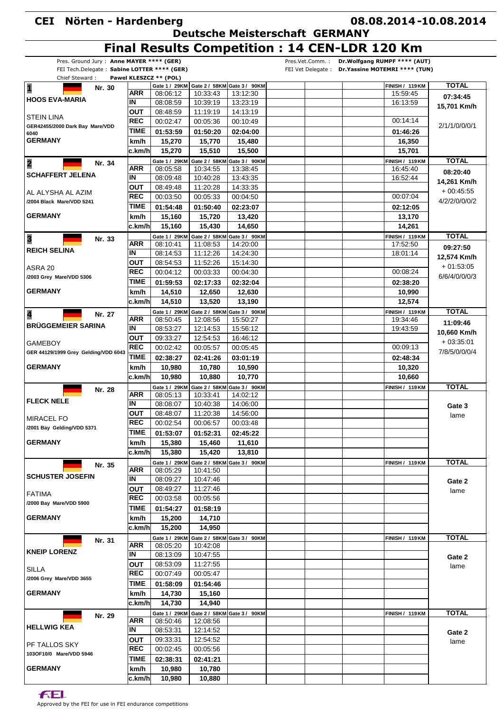# **Final Results Competition : 14 CEN-LDR 120 Km**

Pres. Ground Jury : **Anne MAYER \*\*\*\* (GER)** FEI Tech.Delegate : **Sabine LOTTER \*\*\*\* (GER)** Chief Steward : **Pawel KLESZCZ \*\* (POL)**

Pres.Vet.Comm. : **Dr.Wolfgang RUMPF \*\*\*\* (AUT)** FEI Vet Delegate : **Dr.Yassine MOTEMRI \*\*\*\* (TUN)**

| Chief Steward:                       |                | Pawel KLESZCZ ** (POL)    |                      |                                           |                                    |               |
|--------------------------------------|----------------|---------------------------|----------------------|-------------------------------------------|------------------------------------|---------------|
| $\overline{\mathbf{1}}$<br>Nr. 30    |                |                           |                      | Gate 1 / 29KM Gate 2 / 58KM Gate 3 / 90KM | <b>FINISH / 119 KM</b>             | <b>TOTAL</b>  |
| <b>HOOS EVA-MARIA</b>                | ARR            | 08:06:12                  | 10:33:43             | 13:12:30                                  | 15:59:45                           | 07:34:45      |
|                                      | IN             | 08:08:59                  | 10:39:19             | 13:23:19                                  | 16:13:59                           | 15,701 Km/h   |
| <b>STEIN LINA</b>                    | <b>OUT</b>     | 08:48:59                  | 11:19:19             | 14:13:19                                  |                                    |               |
| GER42455/2000 Dark Bay Mare/VDD      | <b>REC</b>     | 00:02:47                  | 00:05:36             | 00:10:49                                  | 00:14:14                           | 2/1/1/0/0/0/1 |
| 6040                                 | TIME           | 01:53:59                  | 01:50:20             | 02:04:00                                  | 01:46:26                           |               |
| <b>GERMANY</b>                       | km/h           | 15,270                    | 15,770               | 15,480                                    | 16,350                             |               |
|                                      | c.km/h         | 15,270                    | 15,510               | 15,500                                    | 15,701                             |               |
|                                      |                | Gate 1 / 29KM             |                      | Gate 2 / 58KM Gate 3 / 90KM               | <b>FINISH / 119 KM</b>             | <b>TOTAL</b>  |
| $\overline{\mathbf{2}}$<br>Nr. 34    | <b>ARR</b>     | 08:05:58                  | 10:34:55             | 13:38:45                                  | 16:45:40                           | 08:20:40      |
| <b>SCHAFFERT JELENA</b>              | ΙN             | 08:09:48                  | 10:40:28             | 13:43:35                                  | 16:52:44                           |               |
|                                      | ΟUΤ            | 08:49:48                  | 11:20:28             | 14:33:35                                  |                                    | 14,261 Km/h   |
| AL ALYSHA AL AZIM                    | <b>REC</b>     | 00:03:50                  | 00:05:33             | 00:04:50                                  | 00:07:04                           | $+00:45:55$   |
| /2004 Black Mare/VDD 5241            | <b>TIME</b>    | 01:54:48                  | 01:50:40             | 02:23:07                                  | 02:12:05                           | 4/2/2/0/0/0/2 |
| <b>GERMANY</b>                       | km/h           | 15,160                    | 15,720               | 13,420                                    | 13,170                             |               |
|                                      | c.km/h         | 15,160                    | 15,430               | 14,650                                    | 14,261                             |               |
|                                      |                |                           |                      |                                           |                                    |               |
| $\overline{\mathbf{3}}$<br>Nr. 33    | <b>ARR</b>     | Gate 1 / 29KM<br>08:10:41 | 11:08:53             | Gate 2 / 58KM Gate 3 / 90KM<br>14:20:00   | <b>FINISH / 119 KM</b><br>17:52:50 | <b>TOTAL</b>  |
| <b>REICH SELINA</b>                  | ΙN             | 08:14:53                  | 11:12:26             | 14:24:30                                  | 18:01:14                           | 09:27:50      |
|                                      | ΟUΤ            | 08:54:53                  | 11:52:26             | 15:14:30                                  |                                    | 12,574 Km/h   |
| ASRA 20                              | <b>REC</b>     | 00:04:12                  | 00:03:33             |                                           | 00:08:24                           | $+01:53:05$   |
| /2003 Grey Mare/VDD 5306             |                |                           |                      | 00:04:30                                  |                                    | 6/6/4/0/0/0/3 |
|                                      | <b>TIME</b>    | 01:59:53                  | 02:17:33             | 02:32:04                                  | 02:38:20                           |               |
| <b>GERMANY</b>                       | km/h           | 14,510                    | 12,650               | 12,630                                    | 10,990                             |               |
|                                      | c.km/h         | 14.510                    | 13,520               | 13,190                                    | 12,574                             |               |
| 4<br>Nr. 27                          |                | Gate 1 / 29KM             |                      | Gate 2 / 58KM Gate 3 / 90KM               | <b>FINISH / 119 KM</b>             | <b>TOTAL</b>  |
| <b>BRÜGGEMEIER SARINA</b>            | <b>ARR</b>     | 08:50:45                  | 12:08:56             | 15:50:27                                  | 19:34:46                           | 11:09:46      |
|                                      | IN             | 08:53:27                  | 12:14:53             | 15:56:12                                  | 19:43:59                           | 10,660 Km/h   |
| <b>GAMEBOY</b>                       | <b>OUT</b>     | 09:33:27                  | 12:54:53             | 16:46:12                                  |                                    | $+03:35:01$   |
| GER 44129/1999 Grey Gelding/VDD 6043 | <b>REC</b>     | 00:02:42                  | 00:05:57             | 00:05:45                                  | 00:09:13                           | 7/8/5/0/0/0/4 |
|                                      | <b>TIME</b>    | 02:38:27                  | 02:41:26             | 03:01:19                                  | 02:48:34                           |               |
| <b>GERMANY</b>                       | km/h           | 10,980                    | 10,780               | 10,590                                    | 10,320                             |               |
|                                      |                |                           |                      |                                           | 10,660                             |               |
|                                      | c.km/h         | 10,980                    | 10,880               | 10,770                                    |                                    |               |
|                                      |                | Gate 1 / 29KM             |                      | Gate 2 / 58KM Gate 3 / 90KM               | <b>FINISH / 119 KM</b>             | <b>TOTAL</b>  |
| Nr. 28                               | ARR            | 08:05:13                  | 10:33:41             | 14:02:12                                  |                                    |               |
| <b>FLECK NELE</b>                    | IN             | 08:08:07                  | 10:40:38             | 14:06:00                                  |                                    |               |
|                                      | OUT            | 08:48:07                  | 11:20:38             | 14:56:00                                  |                                    | Gate 3        |
| <b>MIRACEL FO</b>                    | <b>REC</b>     | 00:02:54                  | 00:06:57             | 00:03:48                                  |                                    | lame          |
| /2001 Bay Gelding/VDD 5371           | TIME           | 01:53:07                  | 01:52:31             | 02:45:22                                  |                                    |               |
| <b>GERMANY</b>                       |                |                           |                      |                                           |                                    |               |
|                                      | km/h           | 15,380                    | 15,460               | 11,610                                    |                                    |               |
|                                      | $ $ c.km/h $ $ | 15,380                    | 15,420               | 13,810                                    |                                    |               |
| Nr. 35                               |                | Gate 1 / 29KM             |                      | Gate 2 / 58KM Gate 3 / 90KM               | <b>FINISH / 119 KM</b>             | TOTAL         |
| <b>SCHUSTER JOSEFIN</b>              | ARR<br>IN      | 08:05:29<br>08:09:27      | 10:41:50<br>10:47:46 |                                           |                                    |               |
|                                      |                |                           |                      |                                           |                                    | Gate 2        |
| <b>FATIMA</b>                        | ΟUΤ            | 08:49:27                  | 11:27:46             |                                           |                                    | lame          |
| /2000 Bay Mare/VDD 5900              | REC            | 00:03:58                  | 00:05:56             |                                           |                                    |               |
|                                      | TIME           | 01:54:27                  | 01:58:19             |                                           |                                    |               |
| <b>GERMANY</b>                       | km/h           | 15,200                    | 14,710               |                                           |                                    |               |
|                                      | c.km/h         | 15,200                    | 14,950               |                                           |                                    |               |
| Nr. 31                               |                | Gate 1 / 29KM             |                      | Gate 2 / 58KM Gate 3 / 90KM               | <b>FINISH / 119 KM</b>             | <b>TOTAL</b>  |
| <b>KNEIP LORENZ</b>                  | <b>ARR</b>     | 08:05:20                  | 10:42:08             |                                           |                                    |               |
|                                      | IN             | 08:13:09                  | 10:47:55             |                                           |                                    | Gate 2        |
| SILLA                                | ΟUΤ            | 08:53:09                  | 11:27:55             |                                           |                                    | lame          |
| /2006 Grey Mare/VDD 3655             | <b>REC</b>     | 00:07:49                  | 00:05:47             |                                           |                                    |               |
|                                      | <b>TIME</b>    | 01:58:09                  | 01:54:46             |                                           |                                    |               |
| <b>GERMANY</b>                       | km/h           | 14,730                    | 15,160               |                                           |                                    |               |
|                                      | c.km/h         | 14,730                    | 14,940               |                                           |                                    |               |
| Nr. 29                               |                | Gate 1 / 29KM             |                      | Gate 2 / 58KM Gate 3 / 90KM               | <b>FINISH / 119 KM</b>             | <b>TOTAL</b>  |
|                                      | ARR            | 08:50:46                  | 12:08:56             |                                           |                                    |               |
| <b>HELLWIG KEA</b>                   | IN             | 08:53:31                  | 12:14:52             |                                           |                                    | Gate 2        |
|                                      | ουτ            | 09:33:31                  | 12:54:52             |                                           |                                    | lame          |
| PF TALLOS SKY                        | REC            | 00:02:45                  | 00:05:56             |                                           |                                    |               |
| 103OF10/0 Mare/VDD 5946              | TIME           | 02:38:31                  | 02:41:21             |                                           |                                    |               |
| <b>GERMANY</b>                       | km/h           | 10,980                    | 10,780               |                                           |                                    |               |

ı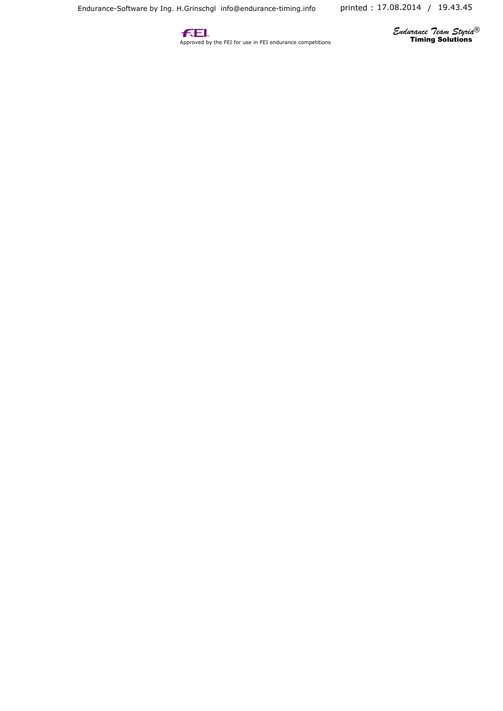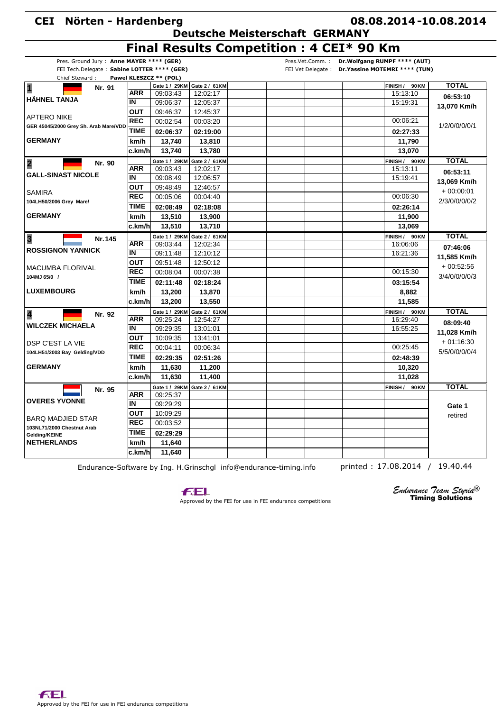### **CEI Nörten - Hardenberg Deutsche Meisterschaft GERMANY 08.08.2014 10.08.2014 - Final Results Competition : 4 CEI\* 90 Km**

| Pres. Ground Jury: Anne MAYER **** (GER)    |             |                        |                             | Pres.Vet.Comm.: | Dr.Wolfgang RUMPF **** (AUT)                     |               |
|---------------------------------------------|-------------|------------------------|-----------------------------|-----------------|--------------------------------------------------|---------------|
| FEI Tech.Delegate: Sabine LOTTER **** (GER) |             |                        |                             |                 | FEI Vet Delegate: Dr. Yassine MOTEMRI **** (TUN) |               |
| Chief Steward:                              |             | Pawel KLESZCZ ** (POL) |                             |                 |                                                  |               |
| $\overline{\mathbf{1}}$<br>Nr. 91           |             |                        | Gate 1 / 29KM Gate 2 / 61KM |                 | FINISH / 90 KM                                   | <b>TOTAL</b>  |
| <b>HÄHNEL TANJA</b>                         | <b>ARR</b>  | 09:03:43               | 12:02:17                    |                 | 15:13:10                                         | 06:53:10      |
|                                             | IN          | 09:06:37               | 12:05:37                    |                 | 15:19:31                                         | 13,070 Km/h   |
| <b>APTERO NIKE</b>                          | <b>OUT</b>  | 09:46:37               | 12:45:37                    |                 |                                                  |               |
| GER 45045/2000 Grey Sh. Arab Mare/VDD       | <b>REC</b>  | 00:02:54               | 00:03:20                    |                 | 00:06:21                                         | 1/2/0/0/0/0/1 |
|                                             | <b>TIME</b> | 02:06:37               | 02:19:00                    |                 | 02:27:33                                         |               |
| <b>GERMANY</b>                              | km/h        | 13,740                 | 13,810                      |                 | 11,790                                           |               |
|                                             | c.km/h      | 13,740                 | 13,780                      |                 | 13,070                                           |               |
| $\overline{\mathbf{2}}$<br>Nr. 90           |             | Gate 1 / 29KM          | Gate 2 / 61KM               |                 | FINISH / 90 KM                                   | <b>TOTAL</b>  |
|                                             | <b>ARR</b>  | 09:03:43               | 12:02:17                    |                 | 15:13:11                                         | 06:53:11      |
| <b>GALL-SINAST NICOLE</b>                   | ΙN          | 09:08:49               | 12:06:57                    |                 | 15:19:41                                         | 13,069 Km/h   |
|                                             | <b>OUT</b>  | 09:48:49               | 12:46:57                    |                 |                                                  | $+00:00:01$   |
| <b>SAMIRA</b>                               | <b>REC</b>  | 00:05:06               | 00:04:40                    |                 | 00:06:30                                         | 2/3/0/0/0/0/2 |
| 104LH50/2006 Grey Mare/                     | TIME        | 02:08:49               | 02:18:08                    |                 | 02:26:14                                         |               |
| <b>GERMANY</b>                              | km/h        | 13,510                 | 13,900                      |                 | 11,900                                           |               |
|                                             | c.km/h      | 13,510                 | 13.710                      |                 | 13,069                                           |               |
| $\overline{\mathbf{3}}$<br>Nr. 145          |             |                        | Gate 1 / 29KM Gate 2 / 61KM |                 | FINISH / 90 KM                                   | <b>TOTAL</b>  |
|                                             | <b>ARR</b>  | 09:03:44               | 12:02:34                    |                 | 16:06:06                                         | 07:46:06      |
| <b>ROSSIGNON YANNICK</b>                    | IN          | 09:11:48               | 12:10:12                    |                 | 16:21:36                                         |               |
|                                             | <b>OUT</b>  | 09:51:48               | 12:50:12                    |                 |                                                  | 11,585 Km/h   |
| MACUMBA FLORIVAL                            | <b>REC</b>  | 00:08:04               | 00:07:38                    |                 | 00:15:30                                         | $+00.52.56$   |
| 104MJ 65/0 /                                | <b>TIME</b> | 02:11:48               | 02:18:24                    |                 | 03:15:54                                         | 3/4/0/0/0/0/3 |
| <b>LUXEMBOURG</b>                           | km/h        | 13,200                 | 13,870                      |                 | 8,882                                            |               |
|                                             | c.km/h      | 13,200                 | 13,550                      |                 | 11,585                                           |               |
| $\overline{\mathbf{4}}$<br>Nr. 92           |             |                        | Gate 1 / 29KM Gate 2 / 61KM |                 | FINISH / 90 KM                                   | <b>TOTAL</b>  |
|                                             | <b>ARR</b>  | 09:25:24               | 12:54:27                    |                 | 16:29:40                                         | 08:09:40      |
| <b>WILCZEK MICHAELA</b>                     | IN          | 09:29:35               | 13:01:01                    |                 | 16:55:25                                         | 11,028 Km/h   |
|                                             | <b>OUT</b>  | 10:09:35               | 13:41:01                    |                 |                                                  | $+01:16:30$   |
| <b>DSP C'EST LA VIE</b>                     | <b>REC</b>  | 00:04:11               | 00:06:34                    |                 | 00:25:45                                         |               |
| 104LH51/2003 Bay Gelding/VDD                | <b>TIME</b> | 02:29:35               | 02:51:26                    |                 | 02:48:39                                         | 5/5/0/0/0/0/4 |
| <b>GERMANY</b>                              | km/h        | 11,630                 | 11,200                      |                 | 10,320                                           |               |
|                                             | c.km/h      | 11,630                 | 11,400                      |                 | 11,028                                           |               |
| Nr. 95                                      |             |                        | Gate 1 / 29KM Gate 2 / 61KM |                 | FINISH / 90 KM                                   | <b>TOTAL</b>  |
|                                             | <b>ARR</b>  | 09:25:37               |                             |                 |                                                  |               |
| <b>OVERES YVONNE</b>                        | IN          | 09:29:29               |                             |                 |                                                  | Gate 1        |
|                                             | <b>OUT</b>  | 10:09:29               |                             |                 |                                                  | retired       |
| <b>BARQ MADJIED STAR</b>                    | <b>REC</b>  | 00:03:52               |                             |                 |                                                  |               |
| 103NL71/2000 Chestnut Arab<br>Gelding/KEINE | <b>TIME</b> | 02:29:29               |                             |                 |                                                  |               |
| <b>NETHERLANDS</b>                          | km/h        | 11,640                 |                             |                 |                                                  |               |
|                                             | c.km/h      | 11,640                 |                             |                 |                                                  |               |
|                                             |             |                        |                             |                 |                                                  |               |

Endurance-Software by Ing. H.Grinschgl info@endurance-timing.info printed : 17.08.2014 / 19.40.44

**FEL** 

Approved by the FEI for use in FEI endurance competitions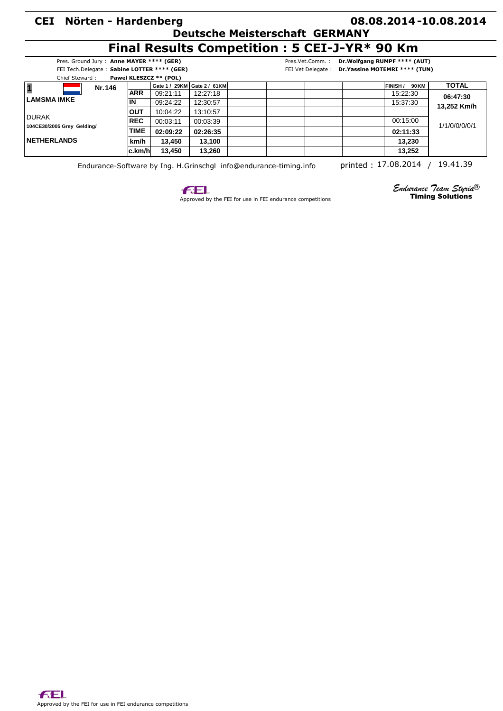# **Final Results Competition : 5 CEI-J-YR\* 90 Km**

|               | Pres. Ground Jury: Anne MAYER **** (GER)    |
|---------------|---------------------------------------------|
|               | FEI Tech.Delegate: Sabine LOTTER **** (GER) |
| ChisEChaward: |                                             |

Pres.Vet.Comm. : **Dr.Wolfgang RUMPF \*\*\*\* (AUT)** FEI Vet Delegate : **Dr.Yassine MOTEMRI \*\*\*\* (TUN)**

| Chief Steward:             |             | Pawel KLESZCZ ** (POL)        |          |  |                          |               |
|----------------------------|-------------|-------------------------------|----------|--|--------------------------|---------------|
| $\vert$ 1<br>Nr. 146       |             | Gate 1 / 29KM   Gate 2 / 61KM |          |  | <b>FINISH</b> /<br>90 KM | <b>TOTAL</b>  |
|                            | <b>ARR</b>  | 09:21:11                      | 12:27:18 |  | 15:22:30                 | 06:47:30      |
| <b>LAMSMA IMKE</b>         | IN          | 09:24:22                      | 12:30:57 |  | 15:37:30                 | 13,252 Km/h   |
| <b>IDURAK</b>              | <b>OUT</b>  | 10:04:22                      | 13:10:57 |  |                          |               |
|                            | <b>REC</b>  | 00:03:11                      | 00:03:39 |  | 00:15:00                 | 1/1/0/0/0/0/1 |
| 104CE30/2005 Grey Gelding/ | <b>TIME</b> | 02:09:22                      | 02:26:35 |  | 02:11:33                 |               |
| <b>NETHERLANDS</b>         | km/h        | 13,450                        | 13.100   |  | 13,230                   |               |
|                            | c.km/hl     | 13.450                        | 13.260   |  | 13,252                   |               |

Endurance-Software by Ing. H.Grinschgl info@endurance-timing.info printed : 17.08.2014 / 19.41.39



Approved by the FEI for use in FEI endurance competitions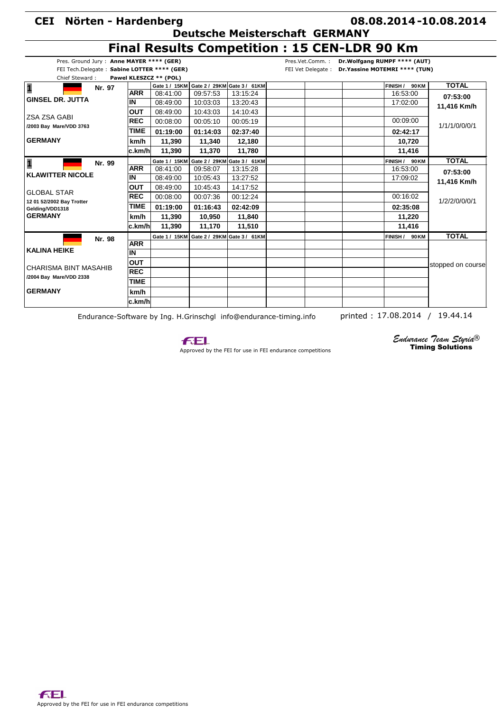#### **CEI Nörten - Hardenberg Deutsche Meisterschaft GERMANY 08.08.2014 10.08.2014 - Final Results Competition : 15 CEN-LDR 90 Km**

|                                              |             |             |                                             |          |                                           |                 | THE RESOLE COMPENSION I 19 CEN LPR 90 RM          |                    |
|----------------------------------------------|-------------|-------------|---------------------------------------------|----------|-------------------------------------------|-----------------|---------------------------------------------------|--------------------|
| Pres. Ground Jury: Anne MAYER **** (GER)     |             |             |                                             |          |                                           | Pres.Vet.Comm.: | Dr.Wolfgang RUMPF **** (AUT)                      |                    |
|                                              |             |             | FEI Tech.Delegate: Sabine LOTTER **** (GER) |          |                                           |                 | FEI Vet Delegate : Dr. Yassine MOTEMRI **** (TUN) |                    |
| Chief Steward:                               |             |             | Pawel KLESZCZ ** (POL)                      |          |                                           |                 |                                                   |                    |
| $\overline{\mathbf{1}}$                      | Nr. 97      |             |                                             |          | Gate 1 / 15KM Gate 2 / 29KM Gate 3 / 61KM |                 | FINISH / 90 KM                                    | <b>TOTAL</b>       |
| <b>GINSEL DR. JUTTA</b>                      |             | <b>ARR</b>  | 08:41:00                                    | 09:57:53 | 13:15:24                                  |                 | 16:53:00                                          | 07:53:00           |
|                                              |             | IN          | 08:49:00                                    | 10:03:03 | 13:20:43                                  |                 | 17:02:00                                          | 11,416 Km/h        |
| <b>ZSA ZSA GABI</b>                          | <b>OUT</b>  | 08:49:00    | 10:43:03                                    | 14:10:43 |                                           |                 |                                                   |                    |
|                                              |             | <b>REC</b>  | 00:08:00                                    | 00:05:10 | 00:05:19                                  |                 | 00:09:00                                          | 1/1/1/0/0/0/1      |
| /2003 Bay Mare/VDD 3763                      | <b>TIME</b> |             | 01:19:00                                    | 01:14:03 | 02:37:40                                  |                 | 02:42:17                                          |                    |
| <b>GERMANY</b>                               |             | km/h        | 11,390                                      | 11,340   | 12,180                                    |                 | 10,720                                            |                    |
|                                              |             | lc.km/hl    | 11,390                                      | 11,370   | 11.780                                    |                 | 11,416                                            |                    |
| $\overline{1}$                               | Nr. 99      |             | Gate 1 / 15KM                               |          | Gate 2 / 29KM Gate 3 / 61KM               |                 | FINISH / 90 KM                                    | <b>TOTAL</b>       |
|                                              |             | <b>ARR</b>  | 08:41:00                                    | 09:58:07 | 13:15:28                                  |                 | 16:53:00                                          | 07:53:00           |
| <b>KLAWITTER NICOLE</b>                      |             | <b>IN</b>   | 08:49:00                                    | 10:05:43 | 13:27:52                                  |                 | 17:09:02                                          | 11,416 Km/h        |
|                                              |             | <b>OUT</b>  | 08:49:00                                    | 10:45:43 | 14:17:52                                  |                 |                                                   |                    |
| <b>GLOBAL STAR</b>                           |             | <b>REC</b>  | 00:08:00                                    | 00:07:36 | 00:12:24                                  |                 | 00:16:02                                          | 1/2/2/0/0/0/1      |
| 12 01 52/2002 Bay Trotter<br>Gelding/VDD1318 |             | <b>TIME</b> | 01:19:00                                    | 01:16:43 | 02:42:09                                  |                 | 02:35:08                                          |                    |
| <b>GERMANY</b>                               |             | km/h        | 11.390                                      | 10.950   | 11.840                                    |                 | 11,220                                            |                    |
|                                              |             | lc.km/hl    | 11,390                                      | 11,170   | 11,510                                    |                 | 11,416                                            |                    |
|                                              | Nr. 98      |             | Gate 1 / 15KM                               |          | Gate 2 / 29KM Gate 3 / 61KM               |                 | FINISH / 90 KM                                    | <b>TOTAL</b>       |
|                                              |             | <b>ARR</b>  |                                             |          |                                           |                 |                                                   |                    |
| <b>KALINA HEIKE</b>                          |             | IN.         |                                             |          |                                           |                 |                                                   |                    |
|                                              |             | lout        |                                             |          |                                           |                 |                                                   | stopped on coursel |
| <b>CHARISMA BINT MASAHIB</b>                 |             | <b>REC</b>  |                                             |          |                                           |                 |                                                   |                    |
| /2004 Bay Mare/VDD 2338                      |             | <b>TIME</b> |                                             |          |                                           |                 |                                                   |                    |
| <b>GERMANY</b>                               |             | km/h        |                                             |          |                                           |                 |                                                   |                    |
|                                              |             | lc.km/hl    |                                             |          |                                           |                 |                                                   |                    |
|                                              |             |             |                                             |          |                                           |                 |                                                   |                    |

Endurance-Software by Ing. H.Grinschgl info@endurance-timing.info printed : 17.08.2014 / 19.44.14



Approved by the FEI for use in FEI endurance competitions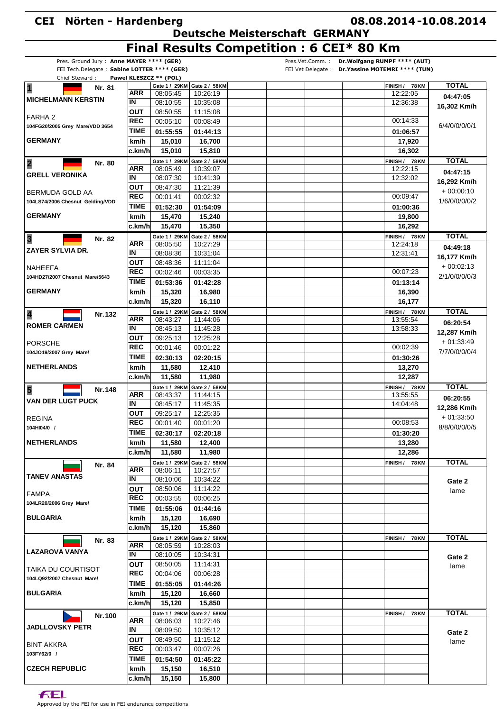**Final Results Competition : 6 CEI\* 80 Km**

| Chief Steward:                                                                      |                          | Pawel KLESZCZ ** (POL)    |                             |                            |               |
|-------------------------------------------------------------------------------------|--------------------------|---------------------------|-----------------------------|----------------------------|---------------|
| $\overline{\mathbf{1}}$<br>Nr. 81                                                   |                          |                           | Gate 1 / 29KM Gate 2 / 58KM | FINISH / 78 KM             | <b>TOTAL</b>  |
| <b>MICHELMANN KERSTIN</b>                                                           | <b>ARR</b>               | 08:05:45                  | 10:26:19                    | 12:22:05                   | 04:47:05      |
|                                                                                     | IN                       | 08:10:55                  | 10:35:08                    | 12:36:38                   | 16,302 Km/h   |
| FARHA <sub>2</sub>                                                                  | <b>OUT</b>               | 08:50:55                  | 11:15:08                    |                            |               |
| 104FG20/2005 Grey Mare/VDD 3654                                                     | <b>REC</b>               | 00:05:10                  | 00:08:49                    | 00:14:33                   | 6/4/0/0/0/0/1 |
|                                                                                     | TIME                     | 01:55:55                  | 01:44:13                    | 01:06:57                   |               |
| <b>GERMANY</b>                                                                      | km/h                     | 15,010                    | 16,700                      | 17,920                     |               |
|                                                                                     | c.km/hl                  | 15,010                    | 15,810                      | 16,302                     |               |
| $\overline{\mathbf{2}}$<br>Nr. 80                                                   |                          | Gate 1 / 29KM             | Gate 2 / 58KM               | FINISH / 78 KM             | <b>TOTAL</b>  |
| <b>GRELL VERONIKA</b>                                                               | <b>ARR</b><br>IN         | 08:05:49                  | 10:39:07                    | 12:22:15                   | 04:47:15      |
|                                                                                     |                          | 08:07:30                  | 10:41:39                    | 12:32:02                   | 16,292 Km/h   |
| <b>BERMUDA GOLD AA</b>                                                              | <b>OUT</b><br><b>REC</b> | 08:47:30                  | 11:21:39                    | 00:09:47                   | $+00:00:10$   |
| 104LS74/2006 Chesnut Gelding/VDD                                                    | <b>TIME</b>              | 00:01:41                  | 00:02:32                    |                            | 1/6/0/0/0/0/2 |
|                                                                                     |                          | 01:52:30                  | 01:54:09                    | 01:00:36                   |               |
| <b>GERMANY</b>                                                                      | km/h                     | 15,470                    | 15,240                      | 19,800                     |               |
|                                                                                     | c.km/h                   | 15,470                    | 15.350                      | 16,292                     |               |
| 3<br>Nr. 82                                                                         | <b>ARR</b>               | Gate 1 / 29KM             | Gate 2 / 58KM               | FINISH / 78 KM             | <b>TOTAL</b>  |
| ZAYER SYLVIA DR.                                                                    | IN                       | 08:05:50<br>08:08:36      | 10:27:29<br>10:31:04        | 12:24:18<br>12:31:41       | 04:49:18      |
|                                                                                     | OUT                      | 08:48:36                  | 11:11:04                    |                            | 16,177 Km/h   |
| <b>NAHEEFA</b>                                                                      | <b>REC</b>               | 00:02:46                  | 00:03:35                    | 00:07:23                   | $+00:02:13$   |
| 104HD27/2007 Chesnut Mare/5643                                                      | <b>TIME</b>              |                           |                             |                            | 2/1/0/0/0/0/3 |
| <b>GERMANY</b>                                                                      | km/h                     | 01:53:36<br>15,320        | 01:42:28<br>16,980          | 01:13:14<br>16,390         |               |
|                                                                                     | c.km/h                   | 15,320                    | 16,110                      | 16,177                     |               |
|                                                                                     |                          |                           |                             |                            |               |
| 4<br>Nr.132                                                                         | <b>ARR</b>               | Gate 1 / 29KM<br>08:43:27 | Gate 2 / 58KM<br>11:44:06   | FINISH / 78 KM<br>13:55:54 | <b>TOTAL</b>  |
| <b>ROMER CARMEN</b>                                                                 | IN                       | 08:45:13                  | 11:45:28                    | 13:58:33                   | 06:20:54      |
|                                                                                     | <b>OUT</b>               | 09:25:13                  | 12:25:28                    |                            | 12,287 Km/h   |
| <b>PORSCHE</b>                                                                      | <b>REC</b>               | 00:01:46                  | 00:01:22                    | 00:02:39                   | $+01:33:49$   |
| 104JO19/2007 Grey Mare/                                                             | <b>TIME</b>              | 02:30:13                  | 02:20:15                    | 01:30:26                   | 7/7/0/0/0/0/4 |
| <b>NETHERLANDS</b>                                                                  | km/h                     | 11,580                    | 12,410                      | 13,270                     |               |
|                                                                                     | c.km/h                   | 11,580                    | 11,980                      | 12,287                     |               |
|                                                                                     |                          | Gate 1 / 29KM             | Gate 2 / 58KM               | FINISH / 78 KM             | <b>TOTAL</b>  |
| 5<br>Nr. 148                                                                        | ARR                      | 08:43:37                  | 11:44:15                    | 13:55:55                   |               |
| <b>VAN DER LUGT PUCK</b>                                                            | IN                       | 08:45:17                  | 11:45:35                    | 14:04:48                   | 06:20:55      |
|                                                                                     | OUT                      | 09:25:17                  | 12:25:35                    |                            | 12,286 Km/h   |
| <b>REGINA</b>                                                                       | <b>REC</b>               | 00:01:40                  | 00:01:20                    | 00:08:53                   | $+01:33:50$   |
| 104HI04/0 /                                                                         | <b>TIME</b>              | 02:30:17                  | 02:20:18                    | 01:30:20                   | 8/8/0/0/0/0/5 |
| <b>NETHERLANDS</b>                                                                  | km/h                     | 11,580                    | 12,400                      | 13,280                     |               |
|                                                                                     | c.km/h                   | 11,580                    | 11,980                      | 12,286                     |               |
| Nr. 84                                                                              |                          | Gate 1 / 29KM             | Gate 2 / 58KM               | FINISH /<br>78 KM          | <b>TOTAL</b>  |
|                                                                                     | <b>ARR</b>               | 08:06:11                  | 10:27:57                    |                            |               |
| <b>TANEV ANASTAS</b>                                                                | IN                       | 08:10:06                  | 10:34:22                    |                            | Gate 2        |
| <b>FAMPA</b>                                                                        | OUT                      | 08:50:06                  | 11:14:22                    |                            | lame          |
| 104LR20/2006 Grey Mare/                                                             | <b>REC</b>               | 00:03:55                  | 00:06:25                    |                            |               |
|                                                                                     | <b>TIME</b>              | 01:55:06                  | 01:44:16                    |                            |               |
| <b>BULGARIA</b>                                                                     | km/h                     | 15,120                    | 16,690                      |                            |               |
|                                                                                     | c.km/hl                  | 15,120                    | 15,860                      |                            |               |
| Nr. 83                                                                              |                          | Gate 1 / 29KM             | Gate 2 / 58KM               | FINISH /<br><b>78 KM</b>   | <b>TOTAL</b>  |
| LAZAROVA VANYA                                                                      | ARR                      | 08:05:59                  | 10:28:03                    |                            |               |
|                                                                                     | IN                       | 08:10:05                  | 10:34:31                    |                            | Gate 2        |
| TAIKA DU COURTISOT                                                                  | OUT                      | 08:50:05                  | 11:14:31                    |                            | lame          |
| 104LQ92/2007 Chesnut Mare/                                                          | <b>REC</b>               | 00:04:06                  | 00:06:28                    |                            |               |
|                                                                                     | <b>TIME</b>              | 01:55:05                  | 01:44:26                    |                            |               |
| <b>BULGARIA</b>                                                                     | km/h                     | 15,120                    | 16,660                      |                            |               |
|                                                                                     | c.km/hl                  | 15,120                    | 15,850                      |                            |               |
|                                                                                     |                          |                           | Gate 2 / 58KM               | FINISH /<br>78 KM          | <b>TOTAL</b>  |
| Nr.100                                                                              |                          | Gate 1 / 29KM             |                             |                            |               |
|                                                                                     | <b>ARR</b>               | 08:06:03                  | 10:27:46                    |                            |               |
|                                                                                     | IN                       | 08:09:50                  | 10:35:12                    |                            | Gate 2        |
|                                                                                     | OUT                      | 08:49:50                  | 11:15:12                    |                            | lame          |
|                                                                                     | <b>REC</b>               | 00:03:47                  | 00:07:26                    |                            |               |
|                                                                                     | TIME                     | 01:54:50                  | 01:45:22                    |                            |               |
| <b>JADLLOVSKY PETR</b><br><b>BINT AKKRA</b><br>103FY62/0 /<br><b>CZECH REPUBLIC</b> | km/h                     | 15,150                    | 16,510<br>15,800            |                            |               |

**FEL**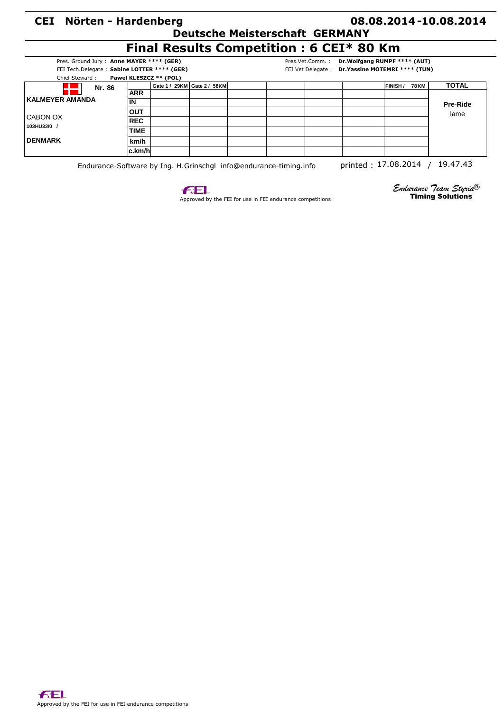# **08.08.2014 10.08.2014 -**

# **CEI Nörten - Hardenberg Deutsche Meisterschaft GERMANY**

**Final Results Competition : 6 CEI\* 80 Km**

|                                             | Pres. Ground Jury: Anne MAYER **** (GER) |                        |                             |  |                                                  | Pres.Vet.Comm.: Dr.Wolfgang RUMPF **** (AUT) |  |                 |       |                 |
|---------------------------------------------|------------------------------------------|------------------------|-----------------------------|--|--------------------------------------------------|----------------------------------------------|--|-----------------|-------|-----------------|
| FEI Tech.Delegate: Sabine LOTTER **** (GER) |                                          |                        |                             |  | FEI Vet Delegate: Dr. Yassine MOTEMRI **** (TUN) |                                              |  |                 |       |                 |
| Chief Steward:                              |                                          | Pawel KLESZCZ ** (POL) |                             |  |                                                  |                                              |  |                 |       |                 |
| Nr. 86                                      |                                          |                        | Gate 1 / 29KM Gate 2 / 58KM |  |                                                  |                                              |  | <b>FINISH</b> / | 78 KM | <b>TOTAL</b>    |
|                                             | <b>ARR</b>                               |                        |                             |  |                                                  |                                              |  |                 |       |                 |
| <b>KALMEYER AMANDA</b>                      | IN                                       |                        |                             |  |                                                  |                                              |  |                 |       | <b>Pre-Ride</b> |
|                                             | <b>OUT</b>                               |                        |                             |  |                                                  |                                              |  |                 |       | lame            |
| CABON OX<br>103HU33/0 /                     | <b>REC</b>                               |                        |                             |  |                                                  |                                              |  |                 |       |                 |
|                                             | <b>TIME</b>                              |                        |                             |  |                                                  |                                              |  |                 |       |                 |
| <b>IDENMARK</b>                             | km/h                                     |                        |                             |  |                                                  |                                              |  |                 |       |                 |
|                                             | c.km/h                                   |                        |                             |  |                                                  |                                              |  |                 |       |                 |

Endurance-Software by Ing. H.Grinschgl info@endurance-timing.info printed : 17.08.2014 / 19.47.43



Approved by the FEI for use in FEI endurance competitions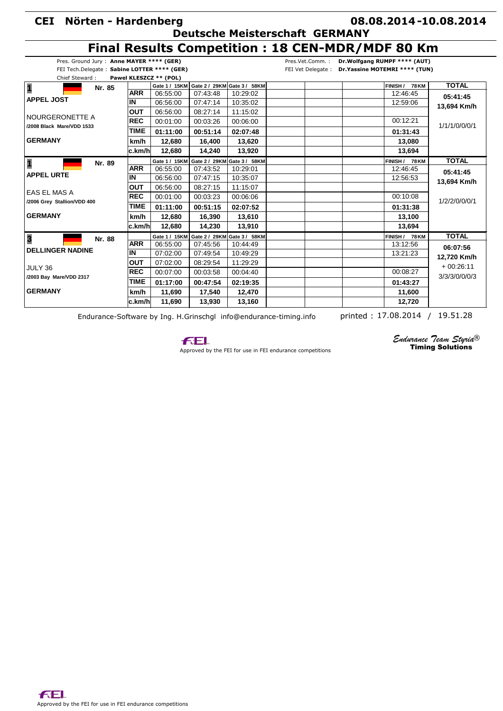# **Final Results Competition : 18 CEN-MDR/MDF 80 Km**

Pres. Ground Jury : **Anne MAYER \*\*\*\* (GER)** FEI Tech.Delegate : **Sabine LOTTER \*\*\*\* (GER)**

Pres.Vet.Comm. : **Dr.Wolfgang RUMPF \*\*\*\* (AUT)** FEI Vet Delegate : **Dr.Yassine MOTEMRI \*\*\*\* (TUN)**

| Chief Steward:                    |             | Pawel KLESZCZ ** (POL) |                                           |          |                |               |
|-----------------------------------|-------------|------------------------|-------------------------------------------|----------|----------------|---------------|
| $\overline{\mathbf{1}}$<br>Nr. 85 |             |                        | Gate 1 / 15KM Gate 2 / 29KM Gate 3 / 58KM |          | FINISH / 78 KM | <b>TOTAL</b>  |
|                                   | <b>ARR</b>  | 06:55:00               | 07:43:48                                  | 10:29:02 | 12:46:45       | 05:41:45      |
| <b>APPEL JOST</b>                 | IN          | 06:56:00               | 07:47:14                                  | 10:35:02 | 12:59:06       | 13,694 Km/h   |
|                                   | <b>OUT</b>  | 06:56:00               | 08:27:14                                  | 11:15:02 |                |               |
| NOURGERONETTE A                   | <b>REC</b>  | 00:01:00               | 00:03:26                                  | 00:06:00 | 00:12:21       |               |
| /2008 Black Mare/VDD 1533         | <b>TIME</b> | 01:11:00               | 00:51:14                                  | 02:07:48 | 01:31:43       | 1/1/1/0/0/0/1 |
| <b>GERMANY</b>                    | km/h        | 12,680                 | 16,400                                    | 13,620   | 13,080         |               |
|                                   | lc.km/h     | 12,680                 | 14,240                                    | 13,920   | 13,694         |               |
| $\overline{\mathbf{1}}$<br>Nr. 89 |             | Gate 1 / 15KM          | Gate 2 / 29KM Gate 3 / 58KM               |          | FINISH / 78 KM | <b>TOTAL</b>  |
|                                   | <b>ARR</b>  | 06:55:00               | 07:43:52                                  | 10:29:01 | 12:46:45       | 05:41:45      |
| <b>APPEL URTE</b>                 | <b>IN</b>   | 06:56:00               | 07:47:15                                  | 10:35:07 | 12:56:53       | 13,694 Km/h   |
|                                   | <b>OUT</b>  | 06:56:00               | 08:27:15                                  | 11:15:07 |                |               |
| EAS EL MAS A                      | <b>REC</b>  | 00:01:00               | 00:03:23                                  | 00:06:06 | 00:10:08       | 1/2/2/0/0/0/1 |
| /2006 Grey Stallion/VDD 400       | TIME        | 01:11:00               | 00:51:15                                  | 02:07:52 | 01:31:38       |               |
| <b>GERMANY</b>                    | km/h        | 12,680                 | 16.390                                    | 13.610   | 13,100         |               |
|                                   | ∣c.km/h∣    | 12,680                 | 14,230                                    | 13,910   | 13,694         |               |
| 3<br>Nr. 88                       |             | Gate 1 / 15KM          | Gate 2 / 29KM Gate 3 / 58KM               |          | FINISH / 78 KM | <b>TOTAL</b>  |
|                                   | <b>ARR</b>  | 06:55:00               | 07:45:56                                  | 10:44:49 | 13:12:56       | 06:07:56      |
| <b>DELLINGER NADINE</b>           | IN          | 07:02:00               | 07:49:54                                  | 10:49:29 | 13:21:23       | 12,720 Km/h   |
|                                   | <b>OUT</b>  | 07:02:00               | 08:29:54                                  | 11:29:29 |                | $+00:26:11$   |
| JULY 36                           | <b>REC</b>  | 00:07:00               | 00:03:58                                  | 00:04:40 | 00:08:27       |               |
| /2003 Bay Mare/VDD 2317           | <b>TIME</b> | 01:17:00               | 00:47:54                                  | 02:19:35 | 01:43:27       | 3/3/3/0/0/0/3 |
| <b>GERMANY</b>                    | km/h        | 11,690                 | 17,540                                    | 12,470   | 11,600         |               |
|                                   | lc.km/hl    | 11,690                 | 13,930                                    | 13,160   | 12,720         |               |

Endurance-Software by Ing. H.Grinschgl info@endurance-timing.info printed : 17.08.2014 / 19.51.28



Approved by the FEI for use in FEI endurance competitions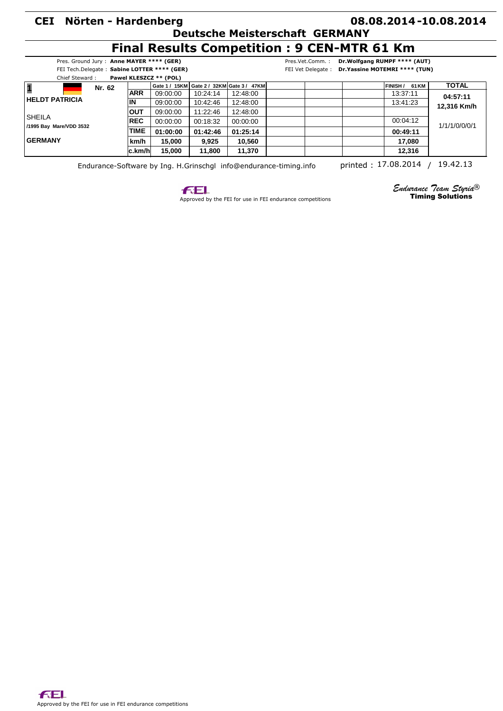# **Final Results Competition : 9 CEN-MTR 61 Km**

Pres. Ground Jury : **Anne MAYER \*\*\*\* (GER)** FEI Tech.Delegate : **Sabine LOTTER \*\*\*\* (GER)**

Pres.Vet.Comm. : **Dr.Wolfgang RUMPF \*\*\*\* (AUT)** FEI Vet Delegate : **Dr.Yassine MOTEMRI \*\*\*\* (TUN)**

| Chief Steward:                           |        |             | Pawel KLESZCZ ** (POL)                    |          |          |                   |               |
|------------------------------------------|--------|-------------|-------------------------------------------|----------|----------|-------------------|---------------|
|                                          | Nr. 62 |             | Gate 1 / 15KM Gate 2 / 32KM Gate 3 / 47KM |          |          | 61 KM<br>FINISH / | <b>TOTAL</b>  |
|                                          |        | <b>ARR</b>  | 09:00:00                                  | 10:24:14 | 12:48:00 | 13:37:11          | 04:57:11      |
| <b>HELDT PATRICIA</b>                    |        | ΙN          | 09:00:00                                  | 10:42:46 | 12:48:00 | 13:41:23          | 12,316 Km/h   |
|                                          |        | lout        | 09:00:00                                  | 11:22:46 | 12:48:00 |                   |               |
| <b>SHEILA</b><br>/1995 Bay Mare/VDD 3532 |        | <b>REC</b>  | 00:00:00                                  | 00:18:32 | 00:00:00 | 00:04:12          | 1/1/1/0/0/0/1 |
|                                          |        | <b>TIME</b> | 01:00:00                                  | 01:42:46 | 01:25:14 | 00:49:11          |               |
| <b>GERMANY</b>                           |        | km/h        | 15,000                                    | 9,925    | 10.560   | 17,080            |               |
|                                          |        | lc.km/hl    | 15.000                                    | 11,800   | 11,370   | 12,316            |               |

Endurance-Software by Ing. H.Grinschgl info@endurance-timing.info printed : 17.08.2014 / 19.42.13



Approved by the FEI for use in FEI endurance competitions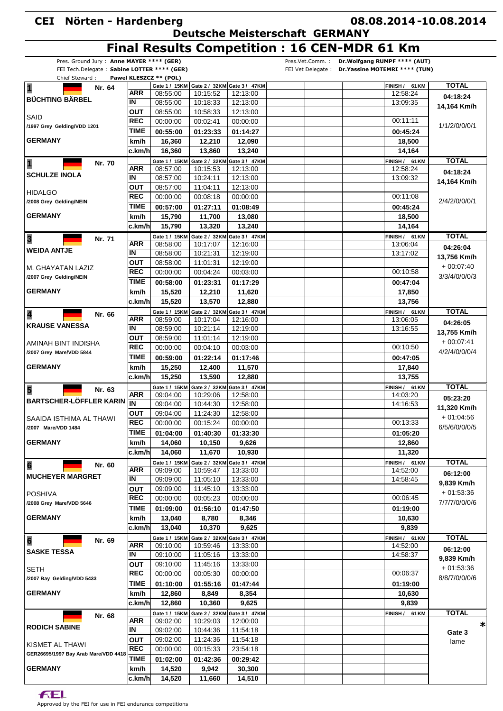### Pres.Vet.Comm. : **Dr.Wolfgang RUMPF \*\*\*\* (AUT) Final Results Competition : 16 CEN-MDR 61 Km**

| Pres. Ground Jury: Anne MAYER **** (GER)<br>FEI Tech.Delegate: Sabine LOTTER **** (GER) |                   |                           |                      |                                           | Pres.Vet.Comm. :<br>Dr.Wolfgang RUMPF **** (AUT)<br>FEI Vet Delegate : Dr. Yassine MOTEMRI **** (TUN) |                            |               |
|-----------------------------------------------------------------------------------------|-------------------|---------------------------|----------------------|-------------------------------------------|-------------------------------------------------------------------------------------------------------|----------------------------|---------------|
| Chief Steward:                                                                          |                   | Pawel KLESZCZ ** (POL)    |                      |                                           |                                                                                                       |                            |               |
| $\vert$ 1<br>Nr. 64                                                                     |                   |                           |                      | Gate 1 / 15KM Gate 2 / 32KM Gate 3 / 47KM |                                                                                                       | FINISH / 61 KM             | <b>TOTAL</b>  |
|                                                                                         | <b>ARR</b>        | 08:55:00                  | 10:15:52             | 12:13:00                                  |                                                                                                       | 12:58:24                   | 04:18:24      |
| <b>BÜCHTING BÄRBEL</b>                                                                  | IN                | 08:55:00                  | 10:18:33             | 12:13:00                                  |                                                                                                       | 13:09:35                   | 14,164 Km/h   |
| SAID                                                                                    | <b>OUT</b>        | 08:55:00                  | 10:58:33             | 12:13:00                                  |                                                                                                       |                            |               |
| /1997 Grey Gelding/VDD 1201                                                             | <b>REC</b>        | 00:00:00                  | 00:02:41             | 00:00:00                                  |                                                                                                       | 00:11:11                   | 1/1/2/0/0/0/1 |
|                                                                                         | <b>TIME</b>       | 00:55:00                  | 01:23:33             | 01:14:27                                  |                                                                                                       | 00:45:24                   |               |
| <b>GERMANY</b>                                                                          | km/h              | 16,360                    | 12,210               | 12,090                                    |                                                                                                       | 18,500                     |               |
|                                                                                         | c.km/h            | 16,360                    | 13,860               | 13,240                                    |                                                                                                       | 14,164                     |               |
| $\overline{\mathbf{1}}$<br>Nr. 70                                                       |                   | Gate 1 / 15KM             |                      | Gate 2 / 32KM Gate 3 / 47KM               |                                                                                                       | FINISH / 61 KM             | <b>TOTAL</b>  |
| <b>SCHULZE INOLA</b>                                                                    | <b>ARR</b>        | 08:57:00                  | 10:15:53             | 12:13:00                                  |                                                                                                       | 12:58:24                   | 04:18:24      |
|                                                                                         | IN                | 08:57:00                  | 10:24:11             | 12:13:00                                  |                                                                                                       | 13:09:32                   | 14,164 Km/h   |
| HIDALGO                                                                                 | OUT               | 08:57:00                  | 11:04:11             | 12:13:00                                  |                                                                                                       |                            |               |
| /2008 Grey Gelding/NEIN                                                                 | <b>REC</b>        | 00:00:00                  | 00:08:18             | 00:00:00                                  |                                                                                                       | 00:11:08                   | 2/4/2/0/0/0/1 |
|                                                                                         | <b>TIME</b>       | 00:57:00                  | 01:27:11             | 01:08:49                                  |                                                                                                       | 00:45:24                   |               |
| <b>GERMANY</b>                                                                          | km/h              | 15,790                    | 11,700               | 13,080                                    |                                                                                                       | 18,500                     |               |
|                                                                                         | c.km/h            | 15,790                    | 13,320               | 13,240                                    |                                                                                                       | 14,164                     |               |
| $\overline{\mathbf{3}}$<br>Nr. 71                                                       |                   | Gate 1 / 15KM             |                      | Gate 2 / 32KM Gate 3 / 47KM               |                                                                                                       | FINISH / 61 KM             | <b>TOTAL</b>  |
| WEIDA ANTJE                                                                             | <b>ARR</b>        | 08:58:00                  | 10:17:07             | 12:16:00                                  |                                                                                                       | 13:06:04                   | 04:26:04      |
|                                                                                         | IN                | 08:58:00                  | 10:21:31             | 12:19:00                                  |                                                                                                       | 13:17:02                   | 13,756 Km/h   |
| M. GHAYATAN LAZIZ                                                                       | <b>OUT</b>        | 08:58:00                  | 11:01:31             | 12:19:00                                  |                                                                                                       |                            | $+00:07:40$   |
| /2007 Grey Gelding/NEIN                                                                 | <b>REC</b>        | 00:00:00                  | 00:04:24             | 00:03:00                                  |                                                                                                       | 00:10:58                   | 3/3/4/0/0/0/3 |
|                                                                                         | <b>TIME</b>       | 00:58:00                  | 01:23:31             | 01:17:29                                  |                                                                                                       | 00:47:04                   |               |
| <b>GERMANY</b>                                                                          | km/h              | 15,520                    | 12,210               | 11,620                                    |                                                                                                       | 17,850                     |               |
|                                                                                         | c.km/h            | 15,520                    | 13,570               | 12,880                                    |                                                                                                       | 13,756                     |               |
| $\overline{\mathbf{4}}$<br>Nr. 66                                                       |                   | Gate 1 / 15KM             |                      | Gate 2 / 32KM Gate 3 / 47KM               |                                                                                                       | FINISH / 61 KM             | <b>TOTAL</b>  |
| <b>KRAUSE VANESSA</b>                                                                   | ARR               | 08:59:00                  | 10:17:04             | 12:16:00                                  |                                                                                                       | 13:06:05                   | 04:26:05      |
|                                                                                         | IN                | 08:59:00                  | 10:21:14             | 12:19:00                                  |                                                                                                       | 13:16:55                   | 13,755 Km/h   |
| AMINAH BINT INDISHA                                                                     | <b>OUT</b>        | 08:59:00                  | 11:01:14             | 12:19:00                                  |                                                                                                       |                            | $+00.07:41$   |
| /2007 Grey Mare/VDD 5844                                                                | <b>REC</b>        | 00:00:00                  | 00:04:10             | 00:03:00                                  |                                                                                                       | 00:10:50                   | 4/2/4/0/0/0/4 |
|                                                                                         | <b>TIME</b>       | 00:59:00                  | 01:22:14             | 01:17:46                                  |                                                                                                       | 00:47:05                   |               |
| <b>GERMANY</b>                                                                          | km/h              | 15,250                    | 12,400               | 11,570                                    |                                                                                                       | 17,840                     |               |
|                                                                                         | ∣c.km/h           | 15,250                    | 13,590               | 12,880                                    |                                                                                                       | 13,755                     |               |
| 5<br>Nr. 63                                                                             |                   | Gate 1 / 15KM             |                      | Gate 2 / 32KM Gate 3 / 47KM               |                                                                                                       | FINISH / 61 KM             | <b>TOTAL</b>  |
| <b>BARTSCHER-LÖFFLER KARIN</b>                                                          | ARR<br>İIN        | 09:04:00                  | 10:29:06             | 12:58:00                                  |                                                                                                       | 14:03:20                   | 05:23:20      |
|                                                                                         |                   | 09:04:00<br>09:04:00      | 10:44:30             | 12:58:00                                  |                                                                                                       | 14:16:53                   | 11,320 Km/h   |
| ISAAIDA ISTHIMA AL THAWI                                                                | OUT<br><b>REC</b> |                           | 11:24:30             | 12:58:00                                  |                                                                                                       | 00:13:33                   | $+01:04:56$   |
| /2007 Mare/VDD 1484                                                                     | <b>TIME</b>       | 00:00:00                  | 00:15:24             | 00:00:00                                  |                                                                                                       |                            | 6/5/6/0/0/0/5 |
|                                                                                         |                   | 01:04:00                  | 01:40:30             | 01:33:30                                  |                                                                                                       | 01:05:20                   |               |
| <b>GERMANY</b>                                                                          | km/h              | 14,060                    | 10,150               | 9,626                                     |                                                                                                       | 12,860                     |               |
|                                                                                         | c.km/h            | 14.060                    | 11.670               | 10,930                                    |                                                                                                       | 11,320                     |               |
| $\overline{6}$<br>Nr. 60                                                                | ARR               | Gate 1 / 15KM<br>09:09:00 |                      | Gate 2 / 32KM Gate 3 / 47KM               |                                                                                                       | FINISH / 61 KM<br>14:52:00 | <b>TOTAL</b>  |
| <b>MUCHEYER MARGRET</b>                                                                 | IN                | 09:09:00                  | 10:59:47<br>11:05:10 | 13:33:00<br>13:33:00                      |                                                                                                       | 14:58:45                   | 06:12:00      |
|                                                                                         | OUT               | 09:09:00                  | 11:45:10             | 13:33:00                                  |                                                                                                       |                            | 9,839 Km/h    |
| POSHIVA                                                                                 | <b>REC</b>        | 00:00:00                  | 00:05:23             | 00:00:00                                  |                                                                                                       | 00:06:45                   | + 01:53:36    |
| /2008 Grey Mare/VDD 5646                                                                | <b>TIME</b>       | 01:09:00                  | 01:56:10             |                                           |                                                                                                       |                            | 7/7/7/0/0/0/6 |
| <b>GERMANY</b>                                                                          | km/h              | 13,040                    | 8,780                | 01:47:50<br>8,346                         |                                                                                                       | 01:19:00<br>10,630         |               |
|                                                                                         | c.km/h            | 13,040                    | 10,370               | 9,625                                     |                                                                                                       | 9,839                      |               |
|                                                                                         |                   |                           |                      |                                           |                                                                                                       |                            |               |
| $6\phantom{a}$<br>Nr. 69                                                                | ARR               | Gate 1 / 15KM<br>09:10:00 | 10:59:46             | Gate 2 / 32KM Gate 3 / 47KM<br>13:33:00   |                                                                                                       | FINISH / 61 KM<br>14:52:00 | <b>TOTAL</b>  |
| <b>SASKE TESSA</b>                                                                      | IN                | 09:10:00                  | 11:05:16             | 13:33:00                                  |                                                                                                       | 14:58:37                   | 06:12:00      |
|                                                                                         | <b>OUT</b>        | 09:10:00                  | 11:45:16             | 13:33:00                                  |                                                                                                       |                            | 9,839 Km/h    |
| SETH                                                                                    | <b>REC</b>        | 00:00:00                  | 00:05:30             | 00:00:00                                  |                                                                                                       | 00:06:37                   | $+01:53:36$   |
| /2007 Bay Gelding/VDD 5433                                                              | <b>TIME</b>       | 01:10:00                  | 01:55:16             | 01:47:44                                  |                                                                                                       | 01:19:00                   | 8/8/7/0/0/0/6 |
| <b>GERMANY</b>                                                                          | km/h              | 12,860                    | 8,849                | 8,354                                     |                                                                                                       | 10,630                     |               |
|                                                                                         | c.km/h            | 12,860                    | 10,360               | 9,625                                     |                                                                                                       | 9,839                      |               |
|                                                                                         |                   | Gate 1 / 15KM             |                      | Gate 2 / 32KM Gate 3 / 47KM               |                                                                                                       | FINISH /<br>61 KM          | <b>TOTAL</b>  |
| Nr. 68                                                                                  | ARR               | 09:02:00                  | 10:29:03             | 12:00:00                                  |                                                                                                       |                            |               |
| <b>RODICH SABINE</b>                                                                    | IN                | 09:02:00                  | 10:44:36             | 11:54:18                                  |                                                                                                       |                            | ∗<br>Gate 3   |
|                                                                                         | <b>OUT</b>        | 09:02:00                  | 11:24:36             | 11:54:18                                  |                                                                                                       |                            | lame          |
| KISMET AL THAWI                                                                         | <b>REC</b>        | 00:00:00                  | 00:15:33             | 23:54:18                                  |                                                                                                       |                            |               |
| GER26695/1997 Bay Arab Mare/VDD 4418                                                    | <b>TIME</b>       | 01:02:00                  | 01:42:36             | 00:29:42                                  |                                                                                                       |                            |               |
| <b>GERMANY</b>                                                                          | km/h              | 14,520                    | 9,942                | 30,300                                    |                                                                                                       |                            |               |
|                                                                                         | c.km/h            | 14,520                    | 11,660               | 14,510                                    |                                                                                                       |                            |               |
|                                                                                         |                   |                           |                      |                                           |                                                                                                       |                            |               |

**FEL** 

Approved by the FEI for use in FEI endurance competitions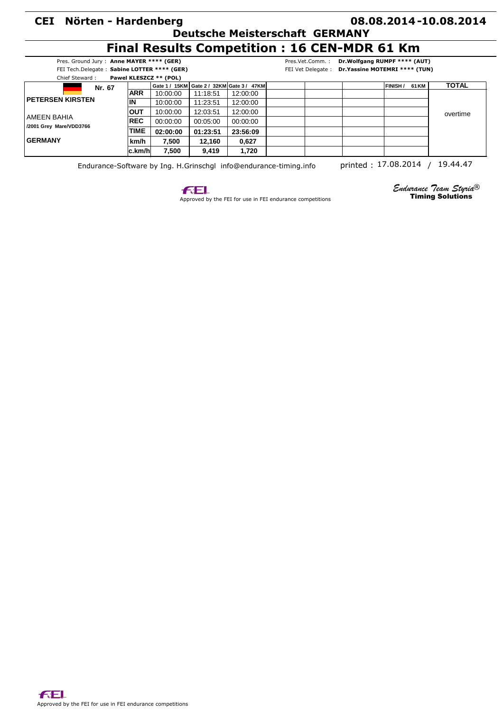#### **CEI Nörten - Hardenberg Deutsche Meisterschaft GERMANY 08.08.2014 10.08.2014 - Final Results Competition : 16 CEN-MDR 61 Km**

|                                             |             |                        |          |                                               | Final Results Competition : 16 CEN-MDR 61 Km |                                                  |                   |              |
|---------------------------------------------|-------------|------------------------|----------|-----------------------------------------------|----------------------------------------------|--------------------------------------------------|-------------------|--------------|
| Pres. Ground Jury: Anne MAYER **** (GER)    |             |                        |          | Pres.Vet.Comm.:                               |                                              | Dr.Wolfgang RUMPF **** (AUT)                     |                   |              |
| FEI Tech.Delegate: Sabine LOTTER **** (GER) |             |                        |          |                                               |                                              | FEI Vet Delegate: Dr. Yassine MOTEMRI **** (TUN) |                   |              |
| Chief Steward:                              |             | Pawel KLESZCZ ** (POL) |          |                                               |                                              |                                                  |                   |              |
| Nr. 67                                      |             |                        |          | Gate 1 / 15KM   Gate 2 / 32KM   Gate 3 / 47KM |                                              |                                                  | FINISH /<br>61 KM | <b>TOTAL</b> |
|                                             | <b>ARR</b>  | 10:00:00               | 11:18:51 | 12:00:00                                      |                                              |                                                  |                   |              |
| <b>PETERSEN KIRSTEN</b>                     | ΙN          | 10:00:00               | 11:23:51 | 12:00:00                                      |                                              |                                                  |                   |              |
|                                             | <b>OUT</b>  | 10:00:00               | 12:03:51 | 12:00:00                                      |                                              |                                                  |                   | overtime     |
| AMEEN BAHIA<br>/2001 Grey Mare/VDD3766      | <b>REC</b>  | 00:00:00               | 00:05:00 | 00:00:00                                      |                                              |                                                  |                   |              |
|                                             | <b>TIME</b> | 02:00:00               | 01:23:51 | 23:56:09                                      |                                              |                                                  |                   |              |
| <b>GERMANY</b>                              | km/h        | 7.500                  | 12,160   | 0,627                                         |                                              |                                                  |                   |              |
|                                             | lc.km/hl    | 7.500                  | 9.419    | 1.720                                         |                                              |                                                  |                   |              |

Endurance-Software by Ing. H.Grinschgl info@endurance-timing.info printed : 17.08.2014 / 19.44.47



Approved by the FEI for use in FEI endurance competitions

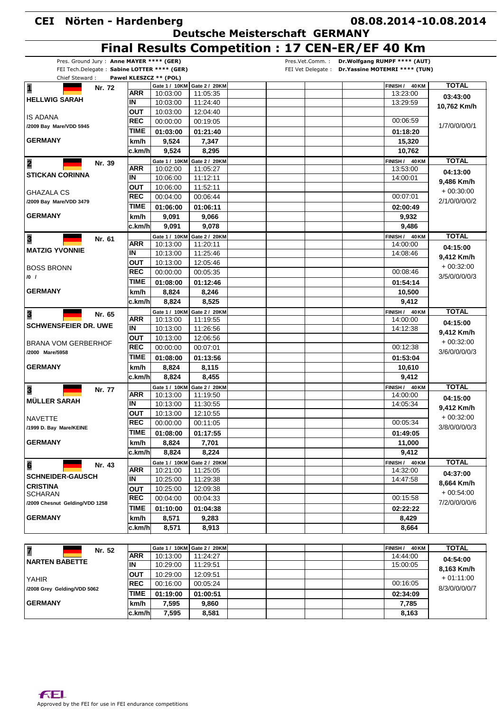### **CEI Nörten - Hardenberg Deutsche Meisterschaft GERMANY 08.08.2014 10.08.2014 - Final Results Competition : 17 CEN-ER/EF 40 Km**

| Pres. Ground Jury: Anne MAYER **** (GER)    |        |             |                             |               | Dr.Wolfgang RUMPF **** (AUT)                                         |               |
|---------------------------------------------|--------|-------------|-----------------------------|---------------|----------------------------------------------------------------------|---------------|
| FEI Tech.Delegate: Sabine LOTTER **** (GER) |        |             |                             |               | Pres.Vet.Comm.:<br>FEI Vet Delegate : Dr. Yassine MOTEMRI **** (TUN) |               |
| Chief Steward:                              |        |             | Pawel KLESZCZ ** (POL)      |               |                                                                      |               |
|                                             |        |             | Gate 1 / 10KM Gate 2 / 20KM |               | FINISH / 40 KM                                                       | <b>TOTAL</b>  |
| $\overline{\mathbf{1}}$                     | Nr. 72 | ARR         | 10:03:00                    | 11:05:35      | 13:23:00                                                             |               |
| <b>HELLWIG SARAH</b>                        |        | ΙN          | 10:03:00                    | 11:24:40      | 13:29:59                                                             | 03:43:00      |
|                                             |        | <b>OUT</b>  | 10:03:00                    | 12:04:40      |                                                                      | 10,762 Km/h   |
| <b>IS ADANA</b>                             |        |             |                             |               |                                                                      |               |
| /2009 Bay Mare/VDD 5945                     |        | <b>REC</b>  | 00:00:00                    | 00:19:05      | 00:06:59                                                             | 1/7/0/0/0/0/1 |
|                                             |        | TIME        | 01:03:00                    | 01:21:40      | 01:18:20                                                             |               |
| <b>GERMANY</b>                              |        | km/h        | 9,524                       | 7,347         | 15,320                                                               |               |
|                                             |        | c.km/h      | 9,524                       | 8,295         | 10,762                                                               |               |
|                                             |        |             | Gate 1 / 10KM               | Gate 2 / 20KM | FINISH / 40 KM                                                       | <b>TOTAL</b>  |
| $\overline{\mathbf{2}}$                     | Nr. 39 | <b>ARR</b>  | 10:02:00                    | 11:05:27      | 13:53:00                                                             |               |
| <b>STICKAN CORINNA</b>                      |        | ΙN          | 10:06:00                    | 11:12:11      | 14:00:01                                                             | 04:13:00      |
|                                             |        | <b>OUT</b>  | 10:06:00                    | 11:52:11      |                                                                      | 9,486 Km/h    |
| <b>GHAZALA CS</b>                           |        |             |                             |               |                                                                      | $+00:30:00$   |
| /2009 Bay Mare/VDD 3479                     |        | <b>REC</b>  | 00:04:00                    | 00:06:44      | 00:07:01                                                             | 2/1/0/0/0/0/2 |
|                                             |        | <b>TIME</b> | 01:06:00                    | 01:06:11      | 02:00:49                                                             |               |
| <b>GERMANY</b>                              |        | km/h        | 9,091                       | 9,066         | 9,932                                                                |               |
|                                             |        | c.km/hl     | 9,091                       | 9,078         | 9,486                                                                |               |
|                                             |        |             | Gate 1 / 10KM               | Gate 2 / 20KM | FINISH / 40 KM                                                       | <b>TOTAL</b>  |
| $\overline{\mathbf{3}}$                     | Nr. 61 | <b>ARR</b>  | 10:13:00                    | 11:20:11      | 14:00:00                                                             |               |
| <b>MATZIG YVONNIE</b>                       |        | IN          | 10:13:00                    | 11:25:46      | 14:08:46                                                             | 04:15:00      |
|                                             |        | <b>OUT</b>  | 10:13:00                    | 12:05:46      |                                                                      | 9,412 Km/h    |
| <b>BOSS BRONN</b>                           |        |             |                             |               |                                                                      | $+00:32:00$   |
| $/0$ /                                      |        | <b>REC</b>  | 00:00:00                    | 00:05:35      | 00:08:46                                                             | 3/5/0/0/0/0/3 |
|                                             |        | <b>TIME</b> | 01:08:00                    | 01:12:46      | 01:54:14                                                             |               |
| <b>GERMANY</b>                              |        | km/h        | 8,824                       | 8,246         | 10,500                                                               |               |
|                                             |        | c.km/h      | 8,824                       | 8,525         | 9,412                                                                |               |
|                                             |        |             | Gate 1 / 10KM               | Gate 2 / 20KM | FINISH / 40 KM                                                       | <b>TOTAL</b>  |
| $\overline{\mathbf{3}}$                     | Nr. 65 | <b>ARR</b>  | 10:13:00                    | 11:19:55      | 14:00:00                                                             |               |
| <b>SCHWENSFEIER DR. UWE</b>                 |        | ΙN          | 10:13:00                    | 11:26:56      | 14:12:38                                                             | 04:15:00      |
|                                             |        | OUT         | 10:13:00                    | 12:06:56      |                                                                      | 9,412 Km/h    |
| <b>BRANA VOM GERBERHOF</b>                  |        | <b>REC</b>  |                             |               |                                                                      | $+00:32:00$   |
| /2000 Mare/5958                             |        |             | 00:00:00                    | 00:07:01      | 00:12:38                                                             | 3/6/0/0/0/0/3 |
|                                             |        | <b>TIME</b> | 01:08:00                    | 01:13:56      | 01:53:04                                                             |               |
| <b>GERMANY</b>                              |        | km/h        | 8,824                       | 8,115         | 10,610                                                               |               |
|                                             |        | c.km/h      | 8,824                       | 8,455         | 9,412                                                                |               |
|                                             | Nr. 77 |             | Gate 1 / 10KM               | Gate 2 / 20KM | FINISH / 40 KM                                                       | <b>TOTAL</b>  |
| $\overline{\mathbf{3}}$                     |        | <b>ARR</b>  | 10:13:00                    | 11:19:50      | 14:00:00                                                             |               |
| <b>MÜLLER SARAH</b>                         |        | IN          | 10:13:00                    | 11:30:55      | 14:05:34                                                             | 04:15:00      |
|                                             |        | <b>OUT</b>  | 10:13:00                    | 12:10:55      |                                                                      | 9,412 Km/h    |
| <b>NAVETTE</b>                              |        | <b>REC</b>  | 00:00:00                    | 00:11:05      | 00:05:34                                                             | $+00:32:00$   |
| /1999 D. Bay Mare/KEINE                     |        |             |                             |               |                                                                      | 3/8/0/0/0/0/3 |
|                                             |        |             | TIME 01:08:00               | 01:17:55      | 01:49:05                                                             |               |
| <b>GERMANY</b>                              |        | km/h        | 8,824                       | 7,701         | 11,000                                                               |               |
|                                             |        | c.km/h      | 8,824                       | 8,224         | 9,412                                                                |               |
| $6\overline{6}$                             | Nr. 43 |             | Gate 1 / 10KM               | Gate 2 / 20KM | FINISH / 40 KM                                                       | <b>TOTAL</b>  |
|                                             |        | ARR         | 10:21:00                    | 11:25:05      | 14:32:00                                                             | 04:37:00      |
| <b>SCHNEIDER-GAUSCH</b>                     |        | IN          | 10:25:00                    | 11:29:38      | 14:47:58                                                             |               |
| <b>CRISTINA</b>                             |        | OUT         | 10:25:00                    | 12:09:38      |                                                                      | 8,664 Km/h    |
| <b>SCHARAN</b>                              |        | <b>REC</b>  | 00:04:00                    | 00:04:33      | 00:15:58                                                             | $+00.54.00$   |
| /2009 Chesnut Gelding/VDD 1258              |        |             |                             |               |                                                                      | 7/2/0/0/0/0/6 |
|                                             |        | TIME        | 01:10:00                    | 01:04:38      | 02:22:22                                                             |               |
| <b>GERMANY</b>                              |        | km/h        | 8,571                       | 9,283         | 8,429                                                                |               |
|                                             |        | c.km/h      | 8,571                       | 8,913         | 8,664                                                                |               |
|                                             |        |             |                             |               |                                                                      |               |
|                                             |        |             | Gate 1 / 10KM               | Gate 2 / 20KM | <b>FINISH /</b><br>40 KM                                             | <b>TOTAL</b>  |
| $\overline{z}$                              | Nr. 52 | <b>ARR</b>  | 10:13:00                    | 11:24:27      | 14:44:00                                                             |               |
| <b>NARTEN BABETTE</b>                       |        | ΙN          | 10:29:00                    | 11:29:51      | 15:00:05                                                             | 04:54:00      |
|                                             |        | OUT         | 10:29:00                    | 12:09:51      |                                                                      | 8,163 Km/h    |
| YAHIR                                       |        |             |                             |               | 00:16:05                                                             | $+01:11:00$   |
| /2008 Grey Gelding/VDD 5062                 |        | <b>REC</b>  | 00:16:00                    | 00:05:24      |                                                                      | 8/3/0/0/0/0/7 |
|                                             |        | <b>TIME</b> | 01:19:00                    | 01:00:51      | 02:34:09                                                             |               |
| <b>GERMANY</b>                              |        | km/h        | 7,595                       | 9,860         | 7,785                                                                |               |

**c.km/h 8,581 7,595 8,163**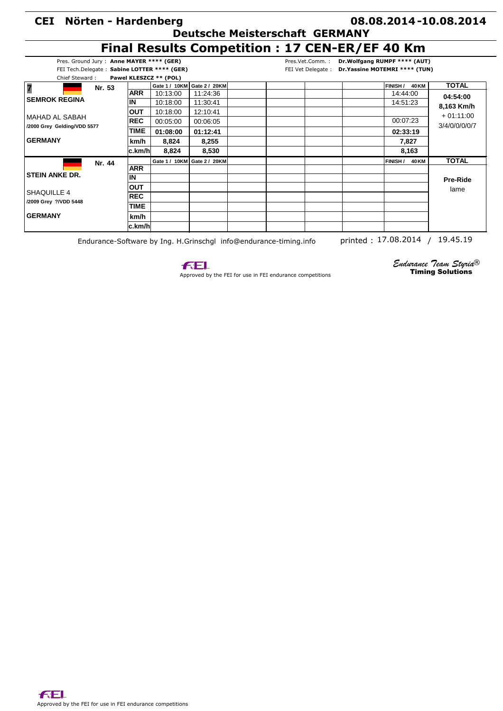#### **CEI Nörten - Hardenberg Deutsche Meisterschaft GERMANY 08.08.2014 10.08.2014 -** Pres. Ground Jury : **Anne MAYER \*\*\*\* (GER)** Pres.Vet.Comm. : **Dr.Wolfgang RUMPF \*\*\*\* (AUT) Final Results Competition : 17 CEN-ER/EF 40 Km**

| FEI Tech.Delegate: Sabine LOTTER **** (GER)   |             |                        |                               | FEI Vet Delegate: Dr. Yassine MOTEMRI **** (TUN) |                          |               |
|-----------------------------------------------|-------------|------------------------|-------------------------------|--------------------------------------------------|--------------------------|---------------|
| Chief Steward:                                |             | Pawel KLESZCZ ** (POL) |                               |                                                  |                          |               |
| $\overline{\mathbf{z}}$<br>Nr. 53             |             |                        | Gate 1 / 10KM Gate 2 / 20KM   |                                                  | <b>40 KM</b><br>FINISH / | <b>TOTAL</b>  |
|                                               | <b>ARR</b>  | 10:13:00               | 11:24:36                      |                                                  | 14:44:00                 | 04:54:00      |
| <b>SEMROK REGINA</b>                          | ΙN          | 10:18:00               | 11:30:41                      |                                                  | 14:51:23                 | 8,163 Km/h    |
|                                               | <b>OUT</b>  | 10:18:00               | 12:10:41                      |                                                  |                          | $+01:11:00$   |
| MAHAD AL SABAH<br>/2000 Grey Gelding/VDD 5577 | <b>REC</b>  | 00:05:00               | 00:06:05                      |                                                  | 00:07:23                 | 3/4/0/0/0/0/7 |
|                                               | <b>TIME</b> | 01:08:00               | 01:12:41                      |                                                  | 02:33:19                 |               |
| <b>GERMANY</b>                                | km/h        | 8,824                  | 8,255                         |                                                  | 7,827                    |               |
|                                               | lc.km/hl    | 8,824                  | 8,530                         |                                                  | 8,163                    |               |
| Nr. 44                                        |             |                        | Gate 1 / 10KM   Gate 2 / 20KM |                                                  | 40 KM<br>FINISH /        | <b>TOTAL</b>  |
|                                               | <b>ARR</b>  |                        |                               |                                                  |                          |               |
| <b>STEIN ANKE DR.</b>                         | IN          |                        |                               |                                                  |                          | Pre-Ride      |
|                                               | <b>OUT</b>  |                        |                               |                                                  |                          | lame          |
| <b>SHAQUILLE 4</b>                            | <b>REC</b>  |                        |                               |                                                  |                          |               |
| /2009 Grey ?/VDD 5448                         | <b>TIME</b> |                        |                               |                                                  |                          |               |
| <b>GERMANY</b>                                | km/h        |                        |                               |                                                  |                          |               |
|                                               | c.km/hl     |                        |                               |                                                  |                          |               |

Endurance-Software by Ing. H.Grinschgl info@endurance-timing.info printed : 17.08.2014 / 19.45.19

**FEL** 

Approved by the FEI for use in FEI endurance competitions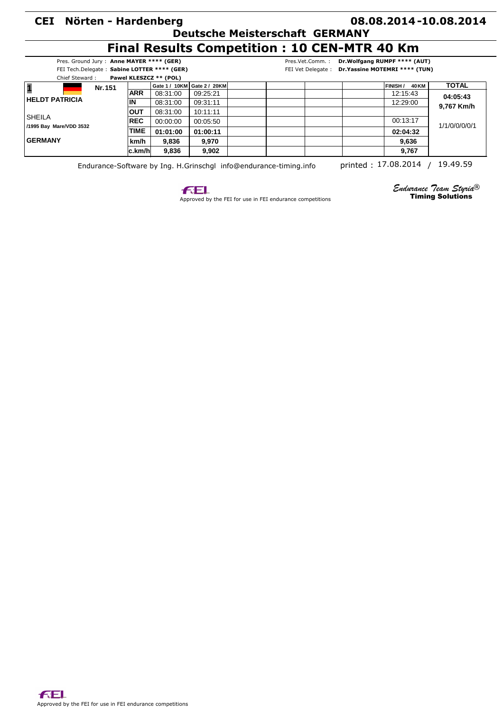| <b>Final Results Competition: 10 CEN-MTR 40 Km</b> |  |  |  |  |  |
|----------------------------------------------------|--|--|--|--|--|
|----------------------------------------------------|--|--|--|--|--|

Pres. Ground Jury : **Anne MAYER \*\*\*\* (GER)** FEI Tech.Delegate : **Sabine LOTTER \*\*\*\* (GER)** Pres.Vet.Comm. : **Dr.Wolfgang RUMPF \*\*\*\* (AUT)** FEI Vet Delegate : **Dr.Yassine MOTEMRI \*\*\*\* (TUN)**

| Chief Steward:                            | Pawel KLESZCZ ** (POL) |          |                               |  |                   |               |
|-------------------------------------------|------------------------|----------|-------------------------------|--|-------------------|---------------|
| $\overline{1}$<br>Nr. 151                 |                        |          | Gate 1 / 10KM   Gate 2 / 20KM |  | 40 KM<br>FINISH / | <b>TOTAL</b>  |
|                                           | <b>ARR</b>             | 08:31:00 | 09:25:21                      |  | 12:15:43          | 04:05:43      |
| <b>HELDT PATRICIA</b>                     | ΙN                     | 08:31:00 | 09:31:11                      |  | 12:29:00          | 9,767 Km/h    |
|                                           | <b>OUT</b>             | 08:31:00 | 10:11:11                      |  |                   |               |
| <b>SHEILA</b><br>1/1995 Bay Mare/VDD 3532 | <b>REC</b>             | 00:00:00 | 00:05:50                      |  | 00:13:17          | 1/1/0/0/0/0/1 |
|                                           | <b>TIME</b>            | 01:01:00 | 01:00:11                      |  | 02:04:32          |               |
| <b>GERMANY</b>                            | km/h                   | 9,836    | 9.970                         |  | 9,636             |               |
|                                           | lc.km/hl               | 9,836    | 9,902                         |  | 9,767             |               |

Endurance-Software by Ing. H.Grinschgl info@endurance-timing.info printed : 17.08.2014 / 19.49.59



Approved by the FEI for use in FEI endurance competitions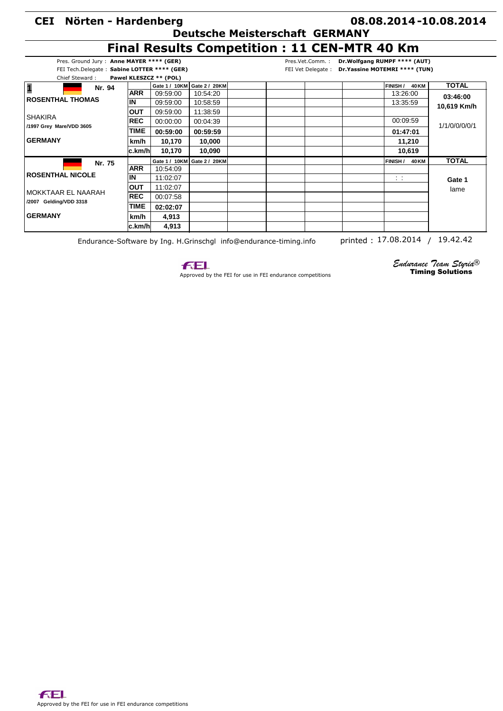### **CEI Nörten - Hardenberg Deutsche Meisterschaft GERMANY 08.08.2014 10.08.2014 - Final Results Competition : 11 CEN-MTR 40 Km**

| Pres. Ground Jury: Anne MAYER **** (GER)     |             |                        |                               | Dr. Wolfgang RUMPF **** (AUT)<br>Pres.Vet.Comm.: |                                |               |  |
|----------------------------------------------|-------------|------------------------|-------------------------------|--------------------------------------------------|--------------------------------|---------------|--|
| FEI Tech.Delegate: Sabine LOTTER **** (GER)  |             |                        |                               | FEI Vet Delegate:                                | Dr. Yassine MOTEMRI **** (TUN) |               |  |
| Chief Steward:                               |             | Pawel KLESZCZ ** (POL) |                               |                                                  |                                |               |  |
| $\overline{\mathbf{1}}$<br>Nr. 94            |             |                        | Gate 1 / 10KM   Gate 2 / 20KM |                                                  | <b>FINISH</b> /<br>40 KM       | <b>TOTAL</b>  |  |
|                                              | <b>ARR</b>  | 09:59:00               | 10:54:20                      |                                                  | 13:26:00                       | 03:46:00      |  |
| <b>ROSENTHAL THOMAS</b>                      | İΝ          | 09:59:00               | 10:58:59                      |                                                  | 13:35:59                       | 10,619 Km/h   |  |
|                                              | <b>OUT</b>  | 09:59:00               | 11:38:59                      |                                                  |                                |               |  |
| <b>SHAKIRA</b>                               | <b>REC</b>  | 00:00:00               | 00:04:39                      |                                                  | 00:09:59                       | 1/1/0/0/0/0/1 |  |
| /1997 Grey Mare/VDD 3605                     | <b>TIME</b> | 00:59:00               | 00:59:59                      |                                                  | 01:47:01                       |               |  |
| <b>GERMANY</b>                               | km/h        | 10,170                 | 10,000                        |                                                  | 11,210                         |               |  |
|                                              | ∣c.km/hl    | 10,170                 | 10,090                        |                                                  | 10,619                         |               |  |
| Nr. 75                                       |             |                        | Gate 1 / 10KM Gate 2 / 20KM   |                                                  | <b>FINISH</b> /<br>40 KM       | <b>TOTAL</b>  |  |
|                                              | <b>ARR</b>  | 10:54:09               |                               |                                                  |                                |               |  |
| <b>ROSENTHAL NICOLE</b>                      | IN          | 11:02:07               |                               |                                                  | $\sim 10$                      | Gate 1        |  |
|                                              | <b>OUT</b>  | 11:02:07               |                               |                                                  |                                | lame          |  |
| MOKKTAAR EL NAARAH<br>/2007 Gelding/VDD 3318 | <b>REC</b>  | 00:07:58               |                               |                                                  |                                |               |  |
|                                              | <b>TIME</b> | 02:02:07               |                               |                                                  |                                |               |  |
| <b>GERMANY</b>                               | km/h        | 4,913                  |                               |                                                  |                                |               |  |
|                                              | ∣c.km/hl    | 4,913                  |                               |                                                  |                                |               |  |

Endurance-Software by Ing. H.Grinschgl info@endurance-timing.info printed : 17.08.2014 / 19.42.42

**FEL** 

Approved by the FEI for use in FEI endurance competitions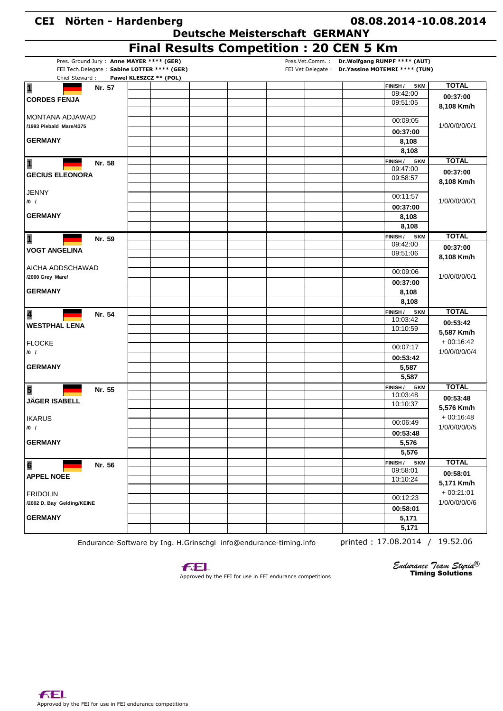## **CEI Nörten - Hardenberg Deutsche Meisterschaft GERMANY 08.08.2014 10.08.2014 - Final Results Competition : 20 CEN 5 Km**

| Pres. Ground Jury: Anne MAYER **** (GER)<br>FEI Tech.Delegate: Sabine LOTTER **** (GER)<br>Chief Steward:<br>Pawel KLESZCZ ** (POL) | Dr.Wolfgang RUMPF **** (AUT)<br>Pres.Vet.Comm.:<br>FEI Vet Delegate: Dr. Yassine MOTEMRI **** (TUN) |
|-------------------------------------------------------------------------------------------------------------------------------------|-----------------------------------------------------------------------------------------------------|
| $\overline{\mathbf{1}}$<br>Nr. 57                                                                                                   | <b>TOTAL</b><br>FINISH /<br><b>5 KM</b>                                                             |
|                                                                                                                                     | 09:42:00<br>00:37:00                                                                                |
| <b>CORDES FENJA</b>                                                                                                                 | 09:51:05<br>8,108 Km/h                                                                              |
|                                                                                                                                     |                                                                                                     |
| MONTANA ADJAWAD                                                                                                                     | 00:09:05                                                                                            |
| /1993 Piebald Mare/4375                                                                                                             | 1/0/0/0/0/0/1<br>00:37:00                                                                           |
| <b>GERMANY</b>                                                                                                                      | 8,108                                                                                               |
|                                                                                                                                     | 8,108                                                                                               |
|                                                                                                                                     | <b>TOTAL</b><br>FINISH /<br>5KM                                                                     |
| $\overline{\mathbf{1}}$<br>Nr. 58                                                                                                   | 09:47:00                                                                                            |
| <b>GECIUS ELEONORA</b>                                                                                                              | 00:37:00<br>09:58:57                                                                                |
|                                                                                                                                     | 8,108 Km/h                                                                                          |
| <b>JENNY</b>                                                                                                                        | 00:11:57                                                                                            |
| $/0$ /                                                                                                                              | 1/0/0/0/0/0/1<br>00:37:00                                                                           |
| <b>GERMANY</b>                                                                                                                      |                                                                                                     |
|                                                                                                                                     | 8,108                                                                                               |
|                                                                                                                                     | 8,108                                                                                               |
| $\overline{\mathbf{1}}$<br>Nr. 59                                                                                                   | <b>TOTAL</b><br>FINISH /<br>5KM<br>09:42:00                                                         |
| <b>VOGT ANGELINA</b>                                                                                                                | 00:37:00                                                                                            |
|                                                                                                                                     | 09:51:06<br>8,108 Km/h                                                                              |
| AICHA ADDSCHAWAD                                                                                                                    |                                                                                                     |
| /2000 Grey Mare/                                                                                                                    | 00:09:06<br>1/0/0/0/0/0/1                                                                           |
|                                                                                                                                     | 00:37:00                                                                                            |
| <b>GERMANY</b>                                                                                                                      | 8,108                                                                                               |
|                                                                                                                                     | 8,108                                                                                               |
| 4<br>Nr. 54                                                                                                                         | <b>TOTAL</b><br>FINISH /<br>5KM                                                                     |
| <b>WESTPHAL LENA</b>                                                                                                                | 10:03:42<br>00:53:42                                                                                |
|                                                                                                                                     | 10:10:59<br>5,587 Km/h                                                                              |
| <b>FLOCKE</b>                                                                                                                       | $+00:16:42$                                                                                         |
| $/0$ /                                                                                                                              | 00:07:17<br>1/0/0/0/0/0/4                                                                           |
|                                                                                                                                     | 00:53:42                                                                                            |
| <b>GERMANY</b>                                                                                                                      | 5,587                                                                                               |
|                                                                                                                                     | 5,587                                                                                               |
| 5<br>Nr. 55                                                                                                                         | <b>TOTAL</b><br>FINISH /<br>5KM                                                                     |
|                                                                                                                                     | 10:03:48<br>00:53:48                                                                                |
| <b>JÄGER ISABELL</b>                                                                                                                | 10:10:37<br>5,576 Km/h                                                                              |
| <b>IKARUS</b>                                                                                                                       | $+00:16:48$                                                                                         |
| 10 <sub>1</sub>                                                                                                                     | 00:06:49<br>1/0/0/0/0/0/5                                                                           |
|                                                                                                                                     | 00:53:48                                                                                            |
| <b>GERMANY</b>                                                                                                                      | 5,576                                                                                               |
|                                                                                                                                     | 5,576                                                                                               |
|                                                                                                                                     | <b>TOTAL</b><br>FINISH /<br>5KM                                                                     |
| 6<br>Nr. 56                                                                                                                         | 09:58:01<br>00:58:01                                                                                |
| <b>APPEL NOEE</b>                                                                                                                   | 10:10:24                                                                                            |
|                                                                                                                                     | 5,171 Km/h                                                                                          |
| <b>FRIDOLIN</b>                                                                                                                     | $+00:21:01$<br>00:12:23                                                                             |
| /2002 D. Bay Gelding/KEINE                                                                                                          | 1/0/0/0/0/0/6<br>00:58:01                                                                           |
| <b>GERMANY</b>                                                                                                                      | 5,171                                                                                               |
|                                                                                                                                     | 5,171                                                                                               |
|                                                                                                                                     |                                                                                                     |

Endurance-Software by Ing. H.Grinschgl info@endurance-timing.info printed : 17.08.2014 / 19.52.06



Approved by the FEI for use in FEI endurance competitions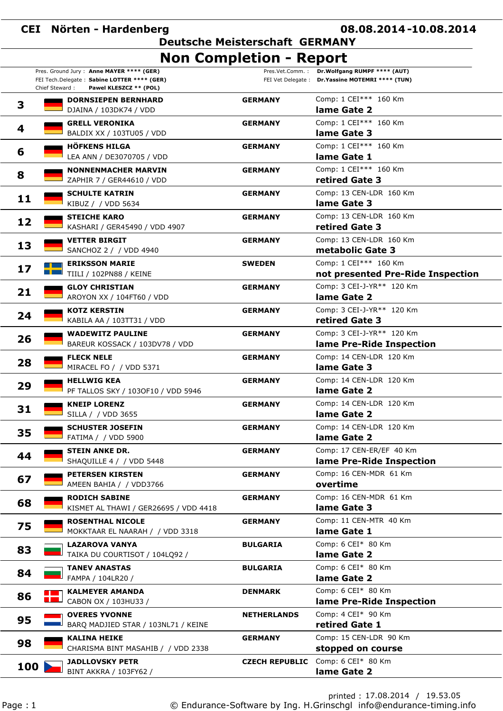#### **Non Completion - Report Deutsche Meisterschaft GERMANY** Pres. Ground Jury : **Anne MAYER \*\*\*\* (GER)** FEI Tech.Delegate : **Sabine LOTTER \*\*\*\* (GER)** Chief Steward : **Pawel KLESZCZ \*\* (POL)** Pres.Vet.Comm. : **Dr.Wolfgang RUMPF \*\*\*\* (AUT)** FEI Vet Delegate : **Dr.Yassine MOTEMRI \*\*\*\* (TUN) 3 DORNSIEPEN BERNHARD GERMANY** DJAINA / 103DK74 / VDD **lame Gate 2** Comp: 1 CEI\*\*\* 160 Km **4 GRELL VERONIKA GERMANY** BALDIX XX / 103TU05 / VDD **lame Gate 3** Comp: 1 CEI\*\*\* 160 Km **6 HÖFKENS HILGA GERMANY** LEA ANN / DE3070705 / VDD **lame Gate 1** Comp: 1 CEI\*\*\* 160 Km **8 NONNENMACHER MARVIN GERMANY** ZAPHIR 7 / GER44610 / VDD **retired Gate 3** Comp: 1 CEI\*\*\* 160 Km **11 SCHULTE KATRIN GERMANY** KIBUZ / / VDD 5634 **lame Gate 3** Comp: 13 CEN-LDR 160 Km **12 STEICHE KARO GERMANY** Comp: 13 CEN-LDF<br>**12 KASHARI** / GER45490 / VDD 4907 **retired Gate 3** Comp: 13 CEN-LDR 160 Km **13 VETTER BIRGIT GERMANY** SANCHOZ 2 / / VDD 4940 **metabolic Gate 3** Comp: 13 CEN-LDR 160 Km **17 ERIKSSON MARIE** SWEDEN not presented Pre-Ride Inspection Comp: 1 CEI\*\*\* 160 Km **21 GLOY CHRISTIAN GERMANY** Comp: 3 CEI-J-Y<br>**lame Gate 2 lame Gate 2** Comp: 3 CEI-J-YR\*\* 120 Km **24 KOTZ KERSTIN**<br>
KABILA AA / 103TT31 / VDD **retired Gate 3** Comp: 3 CEI-J-YR\*\* 120 Km **26** MADEWITZ PAULINE **GERMANY** Comp: 3 CEI-J-YR\*\* 120 Km<br>BAREUR KOSSACK / 103DV78 / VDD **lame Pre-Ride Inspection** Comp: 3 CEI-J-YR\*\* 120 Km **28 FLECK NELE**<br>MIRACEL FO / / VDD 5371 **lame Gate 3** Comp: 14 CEN-LDR 120 Km **29 HELLWIG KEA GERMANY** Comp: 14 CEN-L<br>**PETALLOS SKY / 103OF10 / VDD 5946 lame Gate 2** Comp: 14 CEN-LDR 120 Km **31 KNEIP LORENZ GERMANY** SILLA / / VDD 3655 **lame Gate 2** Comp: 14 CEN-LDR 120 Km **35 SCHUSTER JOSEFIN GERMANY** FATIMA / / VDD 5900 **lame Gate 2** Comp: 14 CEN-LDR 120 Km **44 STEIN ANKE DR. GERMANY**<br>SHAQUILLE 4 / / VDD 5448 **lame Pre-Ride Inspection** Comp: 17 CEN-ER/EF 40 Km **67 PETERSEN KIRSTEN GERMANY** AMEEN BAHIA / / VDD3766 **overtime** Comp: 16 CEN-MDR 61 Km **68 RODICH SABINE GERMANY** Comp: 16 CEN-N<br>**GERMANY GEREMANY lame Gate 3** Comp: 16 CEN-MDR 61 Km **75 ROSENTHAL NICOLE GERMANY** Comp: 11 CEN-N<br>**lame Gate 1 lame Gate 1 lame Gate 1** Comp: 11 CEN-MTR 40 Km **83 LAZAROVA VANYA**<br>TAIKA DU COURTISOT / 104LQ92 / **lame Gate 2** Comp: 6 CEI\* 80 Km **84 TANEV ANASTAS BULGARIA** FAMPA / 104LR20 / **lame Gate 2** Comp: 6 CEI\* 80 Km **86 KALMEYER AMANDA DENMARK DENMARK lame Pre-Ride Inspection** Comp: 6 CEI\* 80 Km **95 OVERES YVONNE OUTRES ARE ARE ARE METHERLANDS** Comp: 4 CEI\* 90 **i**<br>**retired Gate 1 retired Gate 1** Comp: 4 CEI\* 90 Km Comp: 15 CEN-LDR 90 Km

**08.08.2014 10.08.2014 -**

**CEI Nörten - Hardenberg**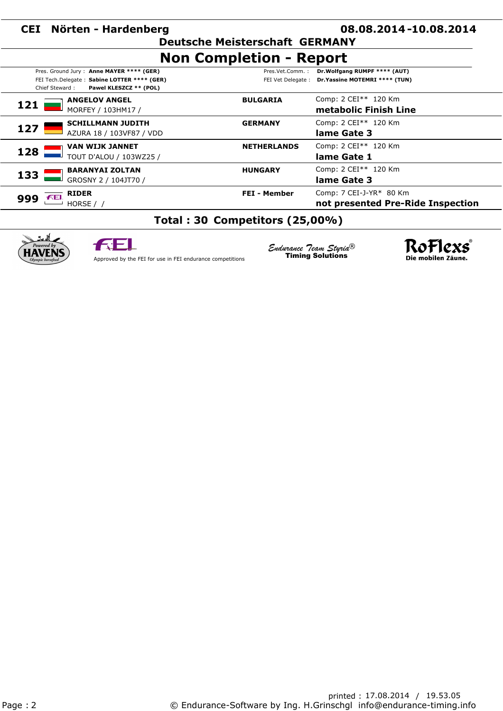| <b>CEI</b> Nörten - Hardenberg                                                                                                      | <b>Deutsche Meisterschaft GERMANY</b> | 08.08.2014-10.08.2014                                                             |  |  |
|-------------------------------------------------------------------------------------------------------------------------------------|---------------------------------------|-----------------------------------------------------------------------------------|--|--|
| <b>Non Completion - Report</b>                                                                                                      |                                       |                                                                                   |  |  |
| Pres. Ground Jury: Anne MAYER **** (GER)<br>FEI Tech.Delegate: Sabine LOTTER **** (GER)<br>Pawel KLESZCZ ** (POL)<br>Chief Steward: | Pres.Vet.Comm.:                       | Dr.Wolfgang RUMPF **** (AUT)<br>FEI Vet Delegate : Dr. Yassine MOTEMRI **** (TUN) |  |  |
| <b>ANGELOV ANGEL</b><br>121<br>MORFEY / 103HM17 /                                                                                   | <b>BULGARIA</b>                       | Comp: 2 CEI** 120 Km<br>metabolic Finish Line                                     |  |  |
| <b>SCHILLMANN JUDITH</b><br>127<br>AZURA 18 / 103VF87 / VDD                                                                         | <b>GERMANY</b>                        | Comp: 2 CEI** 120 Km<br>lame Gate 3                                               |  |  |
| <b>VAN WIJK JANNET</b><br>128<br>TOUT D'ALOU / 103WZ25 /                                                                            | <b>NETHERLANDS</b>                    | Comp: 2 CEI** 120 Km<br>lame Gate 1                                               |  |  |
| <b>BARANYAI ZOLTAN</b><br>133<br>GROSNY 2 / 104JT70 /                                                                               | <b>HUNGARY</b>                        | Comp: 2 CEI** 120 Km<br>lame Gate 3                                               |  |  |
| <b>RIDER</b><br>999<br>HORSE $/$ /                                                                                                  | <b>FEI - Member</b>                   | Comp: $7$ CEI-J-YR $*$ 80 Km<br>not presented Pre-Ride Inspection                 |  |  |

# **Total : 30 Competitors (25,00%)**



-



Approved by the FEI for use in FEI endurance competitions